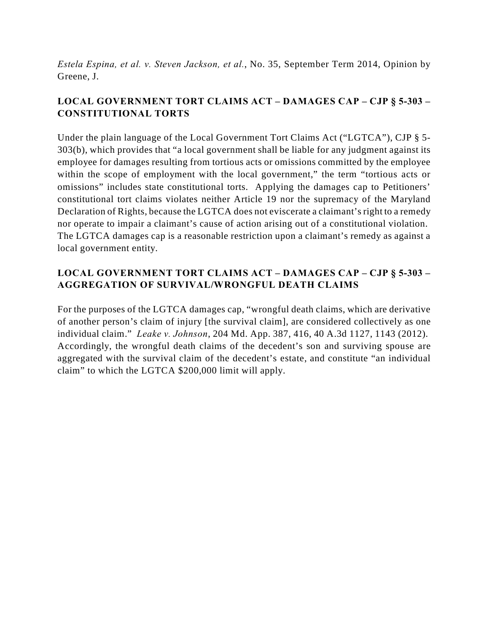*Estela Espina, et al. v. Steven Jackson, et al.*, No. 35, September Term 2014, Opinion by Greene, J.

## **LOCAL GOVERNMENT TORT CLAIMS ACT – DAMAGES CAP – CJP § 5-303 – CONSTITUTIONAL TORTS**

Under the plain language of the Local Government Tort Claims Act ("LGTCA"), CJP § 5- 303(b), which provides that "a local government shall be liable for any judgment against its employee for damages resulting from tortious acts or omissions committed by the employee within the scope of employment with the local government," the term "tortious acts or omissions" includes state constitutional torts. Applying the damages cap to Petitioners' constitutional tort claims violates neither Article 19 nor the supremacy of the Maryland Declaration of Rights, because the LGTCA does not eviscerate a claimant's right to a remedy nor operate to impair a claimant's cause of action arising out of a constitutional violation. The LGTCA damages cap is a reasonable restriction upon a claimant's remedy as against a local government entity.

# **LOCAL GOVERNMENT TORT CLAIMS ACT – DAMAGES CAP – CJP § 5-303 – AGGREGATION OF SURVIVAL/WRONGFUL DEATH CLAIMS**

For the purposes of the LGTCA damages cap, "wrongful death claims, which are derivative of another person's claim of injury [the survival claim], are considered collectively as one individual claim." *Leake v. Johnson*, 204 Md. App. 387, 416, 40 A.3d 1127, 1143 (2012). Accordingly, the wrongful death claims of the decedent's son and surviving spouse are aggregated with the survival claim of the decedent's estate, and constitute "an individual claim" to which the LGTCA \$200,000 limit will apply.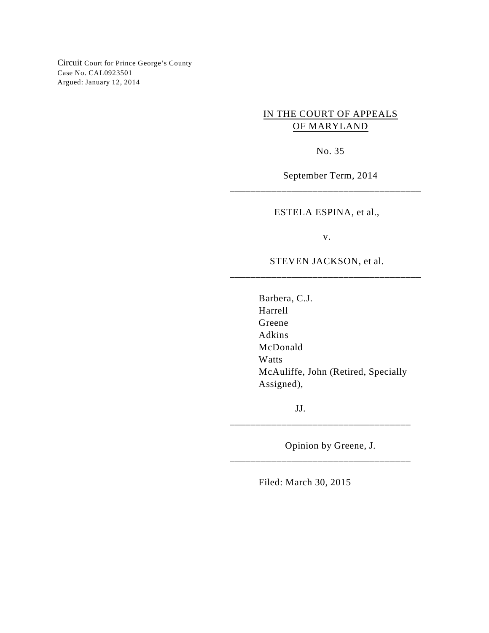Circuit Court for Prince George's County Case No. CAL0923501 Argued: January 12, 2014

## IN THE COURT OF APPEALS OF MARYLAND

No. 35

September Term, 2014

ESTELA ESPINA, et al.,

\_\_\_\_\_\_\_\_\_\_\_\_\_\_\_\_\_\_\_\_\_\_\_\_\_\_\_\_\_\_\_\_\_\_\_\_\_

v.

## STEVEN JACKSON, et al. \_\_\_\_\_\_\_\_\_\_\_\_\_\_\_\_\_\_\_\_\_\_\_\_\_\_\_\_\_\_\_\_\_\_\_\_\_

Barbera, C.J. Harrell Greene Adkins McDonald Watts McAuliffe, John (Retired, Specially Assigned),

JJ.

Opinion by Greene, J.

\_\_\_\_\_\_\_\_\_\_\_\_\_\_\_\_\_\_\_\_\_\_\_\_\_\_\_\_\_\_\_\_\_\_\_

\_\_\_\_\_\_\_\_\_\_\_\_\_\_\_\_\_\_\_\_\_\_\_\_\_\_\_\_\_\_\_\_\_\_\_

Filed: March 30, 2015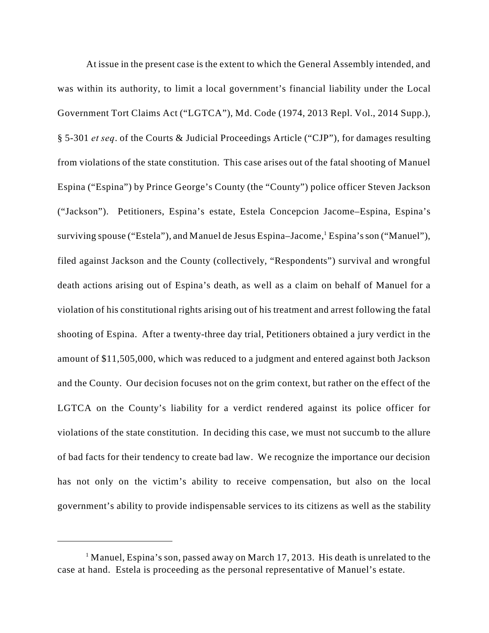At issue in the present case is the extent to which the General Assembly intended, and was within its authority, to limit a local government's financial liability under the Local Government Tort Claims Act ("LGTCA"), Md. Code (1974, 2013 Repl. Vol., 2014 Supp.), § 5-301 *et seq*. of the Courts & Judicial Proceedings Article ("CJP"), for damages resulting from violations of the state constitution. This case arises out of the fatal shooting of Manuel Espina ("Espina") by Prince George's County (the "County") police officer Steven Jackson ("Jackson"). Petitioners, Espina's estate, Estela Concepcion Jacome–Espina, Espina's surviving spouse ("Estela"), and Manuel de Jesus Espina–Jacome, <sup>1</sup> Espina's son ("Manuel"), filed against Jackson and the County (collectively, "Respondents") survival and wrongful death actions arising out of Espina's death, as well as a claim on behalf of Manuel for a violation of his constitutional rights arising out of his treatment and arrest following the fatal shooting of Espina. After a twenty-three day trial, Petitioners obtained a jury verdict in the amount of \$11,505,000, which was reduced to a judgment and entered against both Jackson and the County. Our decision focuses not on the grim context, but rather on the effect of the LGTCA on the County's liability for a verdict rendered against its police officer for violations of the state constitution. In deciding this case, we must not succumb to the allure of bad facts for their tendency to create bad law. We recognize the importance our decision has not only on the victim's ability to receive compensation, but also on the local government's ability to provide indispensable services to its citizens as well as the stability

<sup>&</sup>lt;sup>1</sup> Manuel, Espina's son, passed away on March 17, 2013. His death is unrelated to the case at hand. Estela is proceeding as the personal representative of Manuel's estate.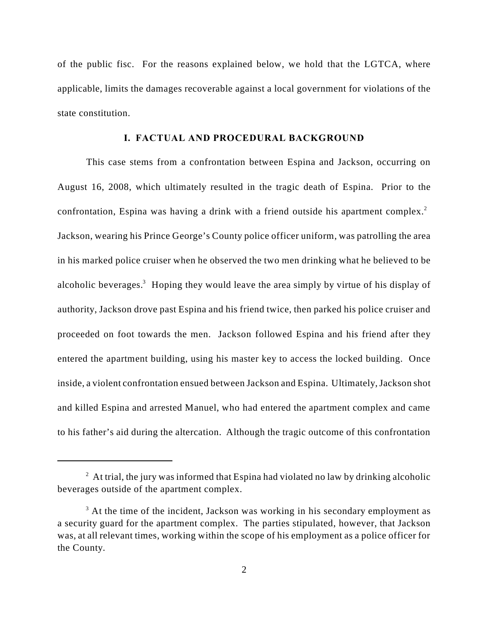of the public fisc. For the reasons explained below, we hold that the LGTCA, where applicable, limits the damages recoverable against a local government for violations of the state constitution.

### **I. FACTUAL AND PROCEDURAL BACKGROUND**

This case stems from a confrontation between Espina and Jackson, occurring on August 16, 2008, which ultimately resulted in the tragic death of Espina. Prior to the confrontation, Espina was having a drink with a friend outside his apartment complex.<sup>2</sup> Jackson, wearing his Prince George's County police officer uniform, was patrolling the area in his marked police cruiser when he observed the two men drinking what he believed to be alcoholic beverages.<sup>3</sup> Hoping they would leave the area simply by virtue of his display of authority, Jackson drove past Espina and his friend twice, then parked his police cruiser and proceeded on foot towards the men. Jackson followed Espina and his friend after they entered the apartment building, using his master key to access the locked building. Once inside, a violent confrontation ensued between Jackson and Espina. Ultimately, Jackson shot and killed Espina and arrested Manuel, who had entered the apartment complex and came to his father's aid during the altercation. Although the tragic outcome of this confrontation

 $\alpha$  At trial, the jury was informed that Espina had violated no law by drinking alcoholic beverages outside of the apartment complex.

 $3$  At the time of the incident, Jackson was working in his secondary employment as a security guard for the apartment complex. The parties stipulated, however, that Jackson was, at all relevant times, working within the scope of his employment as a police officer for the County.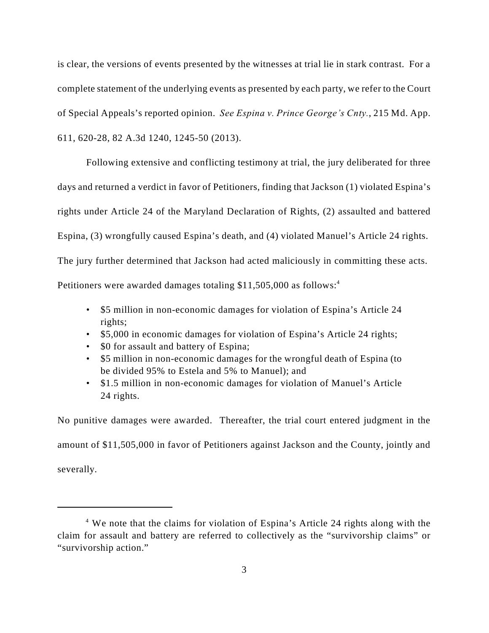is clear, the versions of events presented by the witnesses at trial lie in stark contrast. For a complete statement of the underlying events as presented by each party, we refer to the Court of Special Appeals's reported opinion. *See Espina v. Prince George's Cnty.*, 215 Md. App. 611, 620-28, 82 A.3d 1240, 1245-50 (2013).

Following extensive and conflicting testimony at trial, the jury deliberated for three days and returned a verdict in favor of Petitioners, finding that Jackson (1) violated Espina's rights under Article 24 of the Maryland Declaration of Rights, (2) assaulted and battered Espina, (3) wrongfully caused Espina's death, and (4) violated Manuel's Article 24 rights. The jury further determined that Jackson had acted maliciously in committing these acts. Petitioners were awarded damages totaling \$11,505,000 as follows:<sup>4</sup>

- \$5 million in non-economic damages for violation of Espina's Article 24 rights;
- \$5,000 in economic damages for violation of Espina's Article 24 rights;
- \$0 for assault and battery of Espina;
- \$5 million in non-economic damages for the wrongful death of Espina (to be divided 95% to Estela and 5% to Manuel); and
- \$1.5 million in non-economic damages for violation of Manuel's Article 24 rights.

No punitive damages were awarded. Thereafter, the trial court entered judgment in the amount of \$11,505,000 in favor of Petitioners against Jackson and the County, jointly and severally.

<sup>&</sup>lt;sup>4</sup> We note that the claims for violation of Espina's Article 24 rights along with the claim for assault and battery are referred to collectively as the "survivorship claims" or "survivorship action."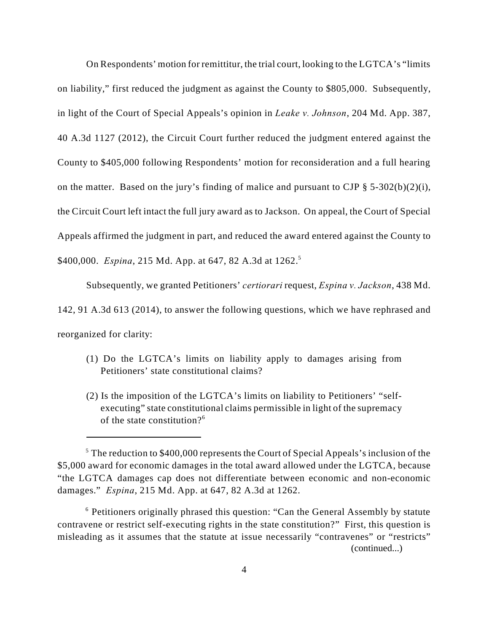On Respondents' motion for remittitur, the trial court, looking to the LGTCA's "limits on liability," first reduced the judgment as against the County to \$805,000. Subsequently, in light of the Court of Special Appeals's opinion in *Leake v. Johnson*, 204 Md. App. 387, 40 A.3d 1127 (2012), the Circuit Court further reduced the judgment entered against the County to \$405,000 following Respondents' motion for reconsideration and a full hearing on the matter. Based on the jury's finding of malice and pursuant to CJP  $\S$  5-302(b)(2)(i), the Circuit Court left intact the full jury award as to Jackson. On appeal, the Court of Special Appeals affirmed the judgment in part, and reduced the award entered against the County to \$400,000. *Espina*, 215 Md. App. at 647, 82 A.3d at 1262.<sup>5</sup>

Subsequently, we granted Petitioners' *certiorari* request, *Espina v. Jackson*, 438 Md. 142, 91 A.3d 613 (2014), to answer the following questions, which we have rephrased and reorganized for clarity:

- (1) Do the LGTCA's limits on liability apply to damages arising from Petitioners' state constitutional claims?
- (2) Is the imposition of the LGTCA's limits on liability to Petitioners' "selfexecuting" state constitutional claims permissible in light of the supremacy of the state constitution? $6$

 $5$  The reduction to \$400,000 represents the Court of Special Appeals's inclusion of the \$5,000 award for economic damages in the total award allowed under the LGTCA, because "the LGTCA damages cap does not differentiate between economic and non-economic damages." *Espina*, 215 Md. App. at 647, 82 A.3d at 1262.

 $6$  Petitioners originally phrased this question: "Can the General Assembly by statute contravene or restrict self-executing rights in the state constitution?" First, this question is misleading as it assumes that the statute at issue necessarily "contravenes" or "restricts" (continued...)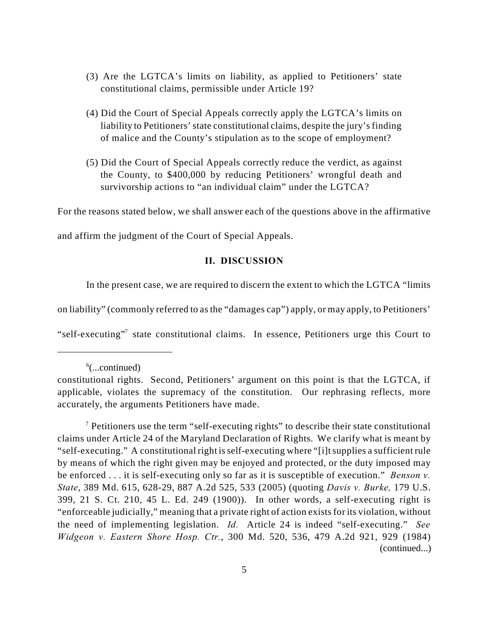- (3) Are the LGTCA's limits on liability, as applied to Petitioners' state constitutional claims, permissible under Article 19?
- (4) Did the Court of Special Appeals correctly apply the LGTCA's limits on liability to Petitioners' state constitutional claims, despite the jury's finding of malice and the County's stipulation as to the scope of employment?
- (5) Did the Court of Special Appeals correctly reduce the verdict, as against the County, to \$400,000 by reducing Petitioners' wrongful death and survivorship actions to "an individual claim" under the LGTCA?

For the reasons stated below, we shall answer each of the questions above in the affirmative

and affirm the judgment of the Court of Special Appeals.

#### **II. DISCUSSION**

In the present case, we are required to discern the extent to which the LGTCA "limits

on liability" (commonly referred to as the "damages cap") apply, or may apply, to Petitioners'

"self-executing"<sup>7</sup> state constitutional claims. In essence, Petitioners urge this Court to

 $\delta$ (...continued)

constitutional rights. Second, Petitioners' argument on this point is that the LGTCA, if applicable, violates the supremacy of the constitution. Our rephrasing reflects, more accurately, the arguments Petitioners have made.

Petitioners use the term "self-executing rights" to describe their state constitutional <sup>7</sup> claims under Article 24 of the Maryland Declaration of Rights. We clarify what is meant by "self-executing." A constitutional right is self-executing where "[i]t supplies a sufficient rule by means of which the right given may be enjoyed and protected, or the duty imposed may be enforced . . . it is self-executing only so far as it is susceptible of execution." *Benson v. State*, 389 Md. 615, 628-29, 887 A.2d 525, 533 (2005) (quoting *Davis v. Burke,* 179 U.S. 399, 21 S. Ct. 210, 45 L. Ed. 249 (1900)). In other words, a self-executing right is "enforceable judicially," meaning that a private right of action exists for its violation, without the need of implementing legislation. *Id.* Article 24 is indeed "self-executing." *See Widgeon v. Eastern Shore Hosp. Ctr.*, 300 Md. 520, 536, 479 A.2d 921, 929 (1984) (continued...)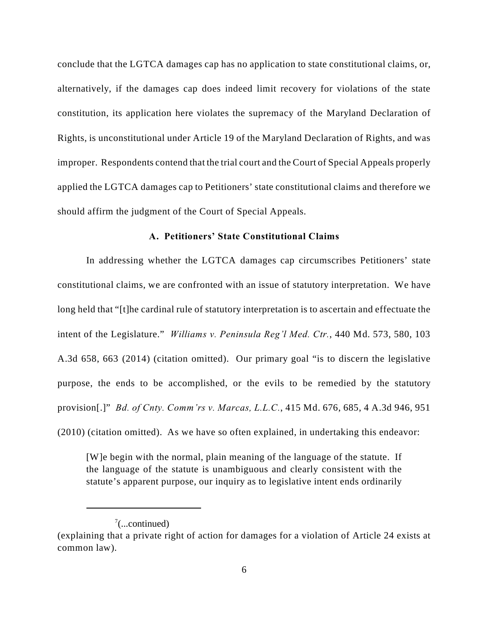conclude that the LGTCA damages cap has no application to state constitutional claims, or, alternatively, if the damages cap does indeed limit recovery for violations of the state constitution, its application here violates the supremacy of the Maryland Declaration of Rights, is unconstitutional under Article 19 of the Maryland Declaration of Rights, and was improper. Respondents contend that the trial court and the Court of Special Appeals properly applied the LGTCA damages cap to Petitioners' state constitutional claims and therefore we should affirm the judgment of the Court of Special Appeals.

#### **A. Petitioners' State Constitutional Claims**

In addressing whether the LGTCA damages cap circumscribes Petitioners' state constitutional claims, we are confronted with an issue of statutory interpretation. We have long held that "[t]he cardinal rule of statutory interpretation is to ascertain and effectuate the intent of the Legislature." *Williams v. Peninsula Reg'l Med. Ctr.*, 440 Md. 573, 580, 103 A.3d 658, 663 (2014) (citation omitted). Our primary goal "is to discern the legislative purpose, the ends to be accomplished, or the evils to be remedied by the statutory provision[.]" *Bd. of Cnty. Comm'rs v. Marcas, L.L.C.*, 415 Md. 676, 685, 4 A.3d 946, 951 (2010) (citation omitted). As we have so often explained, in undertaking this endeavor:

[W]e begin with the normal, plain meaning of the language of the statute. If the language of the statute is unambiguous and clearly consistent with the statute's apparent purpose, our inquiry as to legislative intent ends ordinarily

 $\frac{7}{2}$ ...continued)

<sup>(</sup>explaining that a private right of action for damages for a violation of Article 24 exists at common law).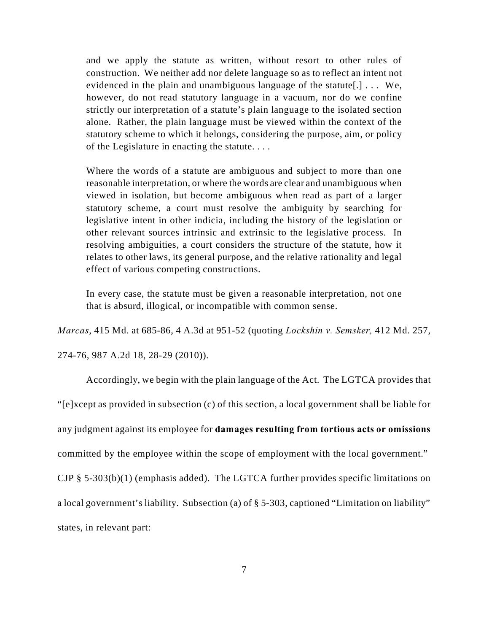and we apply the statute as written, without resort to other rules of construction. We neither add nor delete language so as to reflect an intent not evidenced in the plain and unambiguous language of the statute[.] . . . We, however, do not read statutory language in a vacuum, nor do we confine strictly our interpretation of a statute's plain language to the isolated section alone. Rather, the plain language must be viewed within the context of the statutory scheme to which it belongs, considering the purpose, aim, or policy of the Legislature in enacting the statute. . . .

Where the words of a statute are ambiguous and subject to more than one reasonable interpretation, or where the words are clear and unambiguous when viewed in isolation, but become ambiguous when read as part of a larger statutory scheme, a court must resolve the ambiguity by searching for legislative intent in other indicia, including the history of the legislation or other relevant sources intrinsic and extrinsic to the legislative process. In resolving ambiguities, a court considers the structure of the statute, how it relates to other laws, its general purpose, and the relative rationality and legal effect of various competing constructions.

In every case, the statute must be given a reasonable interpretation, not one that is absurd, illogical, or incompatible with common sense.

*Marcas*, 415 Md. at 685-86, 4 A.3d at 951-52 (quoting *Lockshin v. Semsker,* 412 Md. 257,

274-76, 987 A.2d 18, 28-29 (2010)).

Accordingly, we begin with the plain language of the Act. The LGTCA provides that "[e]xcept as provided in subsection (c) of this section, a local government shall be liable for any judgment against its employee for **damages resulting from tortious acts or omissions** committed by the employee within the scope of employment with the local government." CJP § 5-303(b)(1) (emphasis added). The LGTCA further provides specific limitations on a local government's liability. Subsection (a) of § 5-303, captioned "Limitation on liability"

states, in relevant part: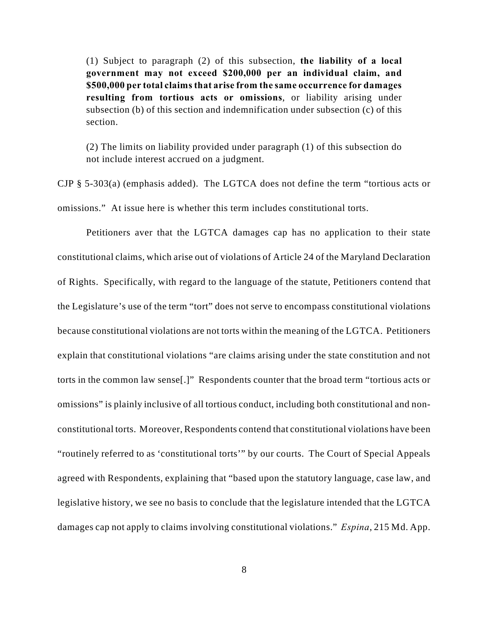(1) Subject to paragraph (2) of this subsection, **the liability of a local government may not exceed \$200,000 per an individual claim, and \$500,000 per total claims that arise from the same occurrence for damages resulting from tortious acts or omissions**, or liability arising under subsection (b) of this section and indemnification under subsection (c) of this section.

(2) The limits on liability provided under paragraph (1) of this subsection do not include interest accrued on a judgment.

CJP § 5-303(a) (emphasis added). The LGTCA does not define the term "tortious acts or omissions." At issue here is whether this term includes constitutional torts.

Petitioners aver that the LGTCA damages cap has no application to their state constitutional claims, which arise out of violations of Article 24 of the Maryland Declaration of Rights. Specifically, with regard to the language of the statute, Petitioners contend that the Legislature's use of the term "tort" does not serve to encompass constitutional violations because constitutional violations are not torts within the meaning of the LGTCA. Petitioners explain that constitutional violations "are claims arising under the state constitution and not torts in the common law sense[.]" Respondents counter that the broad term "tortious acts or omissions" is plainly inclusive of all tortious conduct, including both constitutional and nonconstitutional torts. Moreover, Respondents contend that constitutional violations have been "routinely referred to as 'constitutional torts'" by our courts. The Court of Special Appeals agreed with Respondents, explaining that "based upon the statutory language, case law, and legislative history, we see no basis to conclude that the legislature intended that the LGTCA damages cap not apply to claims involving constitutional violations." *Espina*, 215 Md. App.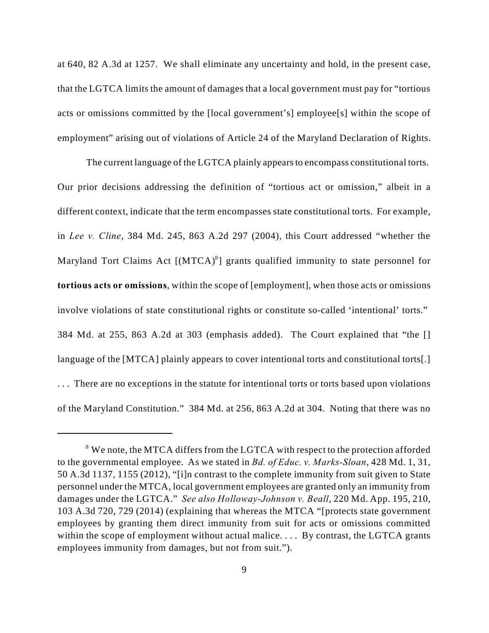at 640, 82 A.3d at 1257. We shall eliminate any uncertainty and hold, in the present case, that the LGTCA limits the amount of damages that a local government must pay for "tortious acts or omissions committed by the [local government's] employee[s] within the scope of employment" arising out of violations of Article 24 of the Maryland Declaration of Rights.

The current language of the LGTCA plainly appears to encompass constitutional torts. Our prior decisions addressing the definition of "tortious act or omission," albeit in a different context, indicate that the term encompasses state constitutional torts. For example, in *Lee v. Cline*, 384 Md. 245, 863 A.2d 297 (2004), this Court addressed "whether the Maryland Tort Claims Act  $[(MTCA)^8]$  grants qualified immunity to state personnel for **tortious acts or omissions**, within the scope of [employment], when those acts or omissions involve violations of state constitutional rights or constitute so-called 'intentional' torts." 384 Md. at 255, 863 A.2d at 303 (emphasis added). The Court explained that "the [] language of the [MTCA] plainly appears to cover intentional torts and constitutional torts[.] . . . There are no exceptions in the statute for intentional torts or torts based upon violations of the Maryland Constitution." 384 Md. at 256, 863 A.2d at 304. Noting that there was no

<sup>&</sup>lt;sup>8</sup> We note, the MTCA differs from the LGTCA with respect to the protection afforded to the governmental employee. As we stated in *Bd. of Educ. v. Marks-Sloan*, 428 Md. 1, 31, 50 A.3d 1137, 1155 (2012), "[i]n contrast to the complete immunity from suit given to State personnel under the MTCA, local government employees are granted only an immunity from damages under the LGTCA." *See also Holloway-Johnson v. Beall*, 220 Md. App. 195, 210, 103 A.3d 720, 729 (2014) (explaining that whereas the MTCA "[protects state government employees by granting them direct immunity from suit for acts or omissions committed within the scope of employment without actual malice. . . . By contrast, the LGTCA grants employees immunity from damages, but not from suit.").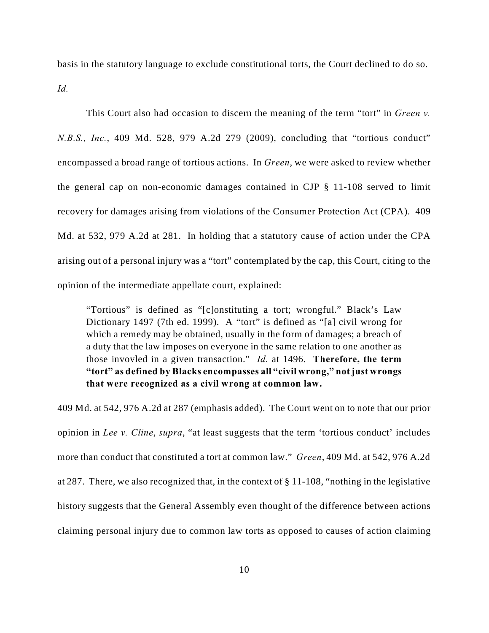basis in the statutory language to exclude constitutional torts, the Court declined to do so. *Id.*

This Court also had occasion to discern the meaning of the term "tort" in *Green v. N.B.S., Inc.*, 409 Md. 528, 979 A.2d 279 (2009), concluding that "tortious conduct" encompassed a broad range of tortious actions. In *Green*, we were asked to review whether the general cap on non-economic damages contained in CJP § 11-108 served to limit recovery for damages arising from violations of the Consumer Protection Act (CPA). 409 Md. at 532, 979 A.2d at 281. In holding that a statutory cause of action under the CPA arising out of a personal injury was a "tort" contemplated by the cap, this Court, citing to the opinion of the intermediate appellate court, explained:

"Tortious" is defined as "[c]onstituting a tort; wrongful." Black's Law Dictionary 1497 (7th ed. 1999). A "tort" is defined as "[a] civil wrong for which a remedy may be obtained, usually in the form of damages; a breach of a duty that the law imposes on everyone in the same relation to one another as those invovled in a given transaction." *Id.* at 1496. **Therefore, the term "tort" as defined by Blacks encompasses all "civil wrong," not just wrongs that were recognized as a civil wrong at common law.**

409 Md. at 542, 976 A.2d at 287 (emphasis added). The Court went on to note that our prior opinion in *Lee v. Cline*, *supra*, "at least suggests that the term 'tortious conduct' includes more than conduct that constituted a tort at common law." *Green*, 409 Md. at 542, 976 A.2d at 287. There, we also recognized that, in the context of § 11-108, "nothing in the legislative history suggests that the General Assembly even thought of the difference between actions claiming personal injury due to common law torts as opposed to causes of action claiming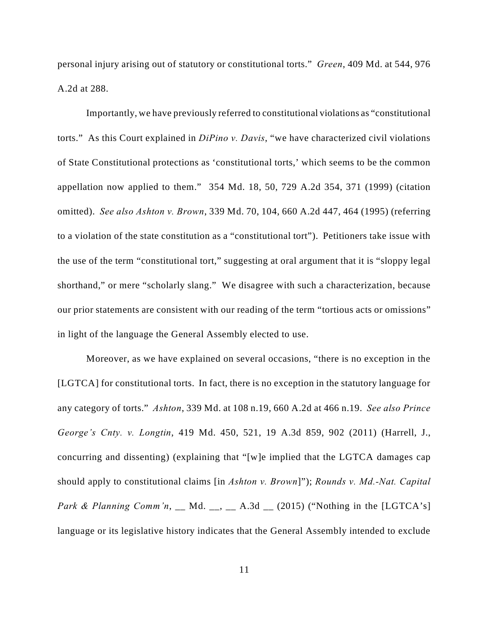personal injury arising out of statutory or constitutional torts." *Green*, 409 Md. at 544, 976 A.2d at 288.

Importantly, we have previously referred to constitutional violations as "constitutional torts." As this Court explained in *DiPino v. Davis*, "we have characterized civil violations of State Constitutional protections as 'constitutional torts,' which seems to be the common appellation now applied to them." 354 Md. 18, 50, 729 A.2d 354, 371 (1999) (citation omitted). *See also Ashton v. Brown*, 339 Md. 70, 104, 660 A.2d 447, 464 (1995) (referring to a violation of the state constitution as a "constitutional tort"). Petitioners take issue with the use of the term "constitutional tort," suggesting at oral argument that it is "sloppy legal shorthand," or mere "scholarly slang." We disagree with such a characterization, because our prior statements are consistent with our reading of the term "tortious acts or omissions" in light of the language the General Assembly elected to use.

Moreover, as we have explained on several occasions, "there is no exception in the [LGTCA] for constitutional torts. In fact, there is no exception in the statutory language for any category of torts." *Ashton*, 339 Md. at 108 n.19, 660 A.2d at 466 n.19. *See also Prince George's Cnty. v. Longtin*, 419 Md. 450, 521, 19 A.3d 859, 902 (2011) (Harrell, J., concurring and dissenting) (explaining that "[w]e implied that the LGTCA damages cap should apply to constitutional claims [in *Ashton v. Brown*]"); *Rounds v. Md.-Nat. Capital Park & Planning Comm'n*, \_\_ Md. \_\_, \_\_ A.3d \_\_ (2015) ("Nothing in the [LGTCA's] language or its legislative history indicates that the General Assembly intended to exclude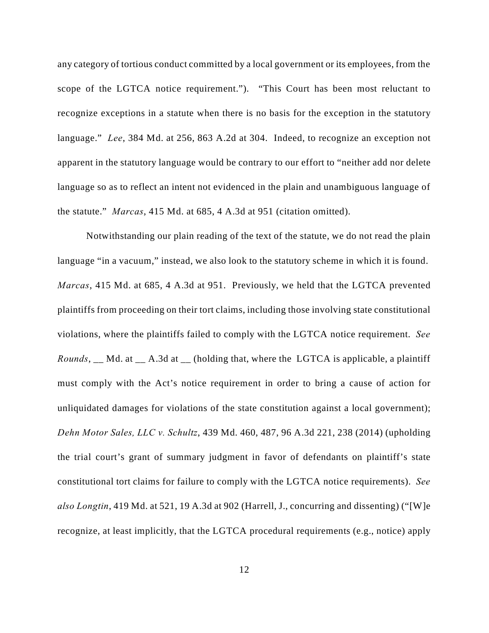any category of tortious conduct committed by a local government or its employees, from the scope of the LGTCA notice requirement."). "This Court has been most reluctant to recognize exceptions in a statute when there is no basis for the exception in the statutory language." *Lee*, 384 Md. at 256, 863 A.2d at 304. Indeed, to recognize an exception not apparent in the statutory language would be contrary to our effort to "neither add nor delete language so as to reflect an intent not evidenced in the plain and unambiguous language of the statute." *Marcas*, 415 Md. at 685, 4 A.3d at 951 (citation omitted).

Notwithstanding our plain reading of the text of the statute, we do not read the plain language "in a vacuum," instead, we also look to the statutory scheme in which it is found. *Marcas*, 415 Md. at 685, 4 A.3d at 951. Previously, we held that the LGTCA prevented plaintiffs from proceeding on their tort claims, including those involving state constitutional violations, where the plaintiffs failed to comply with the LGTCA notice requirement. *See Rounds*, \_\_ Md. at \_\_ A.3d at \_\_ (holding that, where the LGTCA is applicable, a plaintiff must comply with the Act's notice requirement in order to bring a cause of action for unliquidated damages for violations of the state constitution against a local government); *Dehn Motor Sales, LLC v. Schultz*, 439 Md. 460, 487, 96 A.3d 221, 238 (2014) (upholding the trial court's grant of summary judgment in favor of defendants on plaintiff's state constitutional tort claims for failure to comply with the LGTCA notice requirements). *See also Longtin*, 419 Md. at 521, 19 A.3d at 902 (Harrell, J., concurring and dissenting) ("[W]e recognize, at least implicitly, that the LGTCA procedural requirements (e.g., notice) apply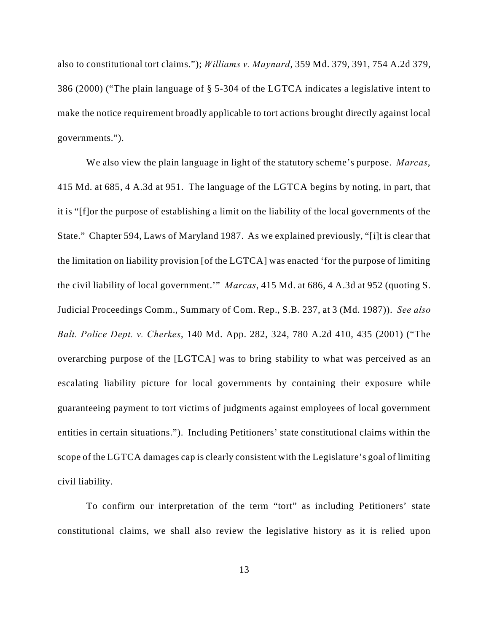also to constitutional tort claims."); *Williams v. Maynard*, 359 Md. 379, 391, 754 A.2d 379, 386 (2000) ("The plain language of § 5-304 of the LGTCA indicates a legislative intent to make the notice requirement broadly applicable to tort actions brought directly against local governments.").

We also view the plain language in light of the statutory scheme's purpose. *Marcas*, 415 Md. at 685, 4 A.3d at 951. The language of the LGTCA begins by noting, in part, that it is "[f]or the purpose of establishing a limit on the liability of the local governments of the State." Chapter 594, Laws of Maryland 1987. As we explained previously, "[i]t is clear that the limitation on liability provision [of the LGTCA] was enacted 'for the purpose of limiting the civil liability of local government.'" *Marcas*, 415 Md. at 686, 4 A.3d at 952 (quoting S. Judicial Proceedings Comm., Summary of Com. Rep., S.B. 237, at 3 (Md. 1987)). *See also Balt. Police Dept. v. Cherkes*, 140 Md. App. 282, 324, 780 A.2d 410, 435 (2001) ("The overarching purpose of the [LGTCA] was to bring stability to what was perceived as an escalating liability picture for local governments by containing their exposure while guaranteeing payment to tort victims of judgments against employees of local government entities in certain situations."). Including Petitioners' state constitutional claims within the scope of the LGTCA damages cap is clearly consistent with the Legislature's goal of limiting civil liability.

To confirm our interpretation of the term "tort" as including Petitioners' state constitutional claims, we shall also review the legislative history as it is relied upon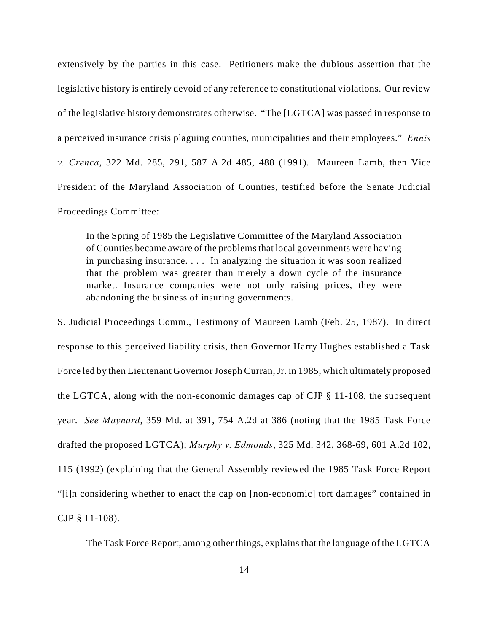extensively by the parties in this case. Petitioners make the dubious assertion that the legislative history is entirely devoid of any reference to constitutional violations. Our review of the legislative history demonstrates otherwise. "The [LGTCA] was passed in response to a perceived insurance crisis plaguing counties, municipalities and their employees." *Ennis v. Crenca*, 322 Md. 285, 291, 587 A.2d 485, 488 (1991). Maureen Lamb, then Vice President of the Maryland Association of Counties, testified before the Senate Judicial Proceedings Committee:

In the Spring of 1985 the Legislative Committee of the Maryland Association of Counties became aware of the problems that local governments were having in purchasing insurance. . . . In analyzing the situation it was soon realized that the problem was greater than merely a down cycle of the insurance market. Insurance companies were not only raising prices, they were abandoning the business of insuring governments.

S. Judicial Proceedings Comm., Testimony of Maureen Lamb (Feb. 25, 1987). In direct response to this perceived liability crisis, then Governor Harry Hughes established a Task Force led by then Lieutenant Governor Joseph Curran, Jr. in 1985, which ultimately proposed the LGTCA, along with the non-economic damages cap of CJP § 11-108, the subsequent year. *See Maynard*, 359 Md. at 391, 754 A.2d at 386 (noting that the 1985 Task Force drafted the proposed LGTCA); *Murphy v. Edmonds*, 325 Md. 342, 368-69, 601 A.2d 102, 115 (1992) (explaining that the General Assembly reviewed the 1985 Task Force Report "[i]n considering whether to enact the cap on [non-economic] tort damages" contained in CJP § 11-108).

The Task Force Report, among other things, explains that the language of the LGTCA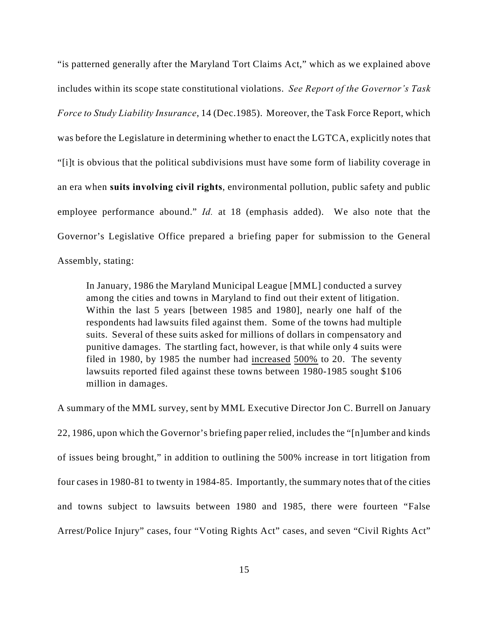"is patterned generally after the Maryland Tort Claims Act," which as we explained above includes within its scope state constitutional violations. *See Report of the Governor's Task Force to Study Liability Insurance*, 14 (Dec.1985). Moreover, the Task Force Report, which was before the Legislature in determining whether to enact the LGTCA, explicitly notes that "[i]t is obvious that the political subdivisions must have some form of liability coverage in an era when **suits involving civil rights**, environmental pollution, public safety and public employee performance abound." *Id.* at 18 (emphasis added). We also note that the Governor's Legislative Office prepared a briefing paper for submission to the General Assembly, stating:

In January, 1986 the Maryland Municipal League [MML] conducted a survey among the cities and towns in Maryland to find out their extent of litigation. Within the last 5 years [between 1985 and 1980], nearly one half of the respondents had lawsuits filed against them. Some of the towns had multiple suits. Several of these suits asked for millions of dollars in compensatory and punitive damages. The startling fact, however, is that while only 4 suits were filed in 1980, by 1985 the number had increased 500% to 20. The seventy lawsuits reported filed against these towns between 1980-1985 sought \$106 million in damages.

A summary of the MML survey, sent by MML Executive Director Jon C. Burrell on January 22, 1986, upon which the Governor's briefing paper relied, includes the "[n]umber and kinds of issues being brought," in addition to outlining the 500% increase in tort litigation from four cases in 1980-81 to twenty in 1984-85. Importantly, the summary notes that of the cities and towns subject to lawsuits between 1980 and 1985, there were fourteen "False Arrest/Police Injury" cases, four "Voting Rights Act" cases, and seven "Civil Rights Act"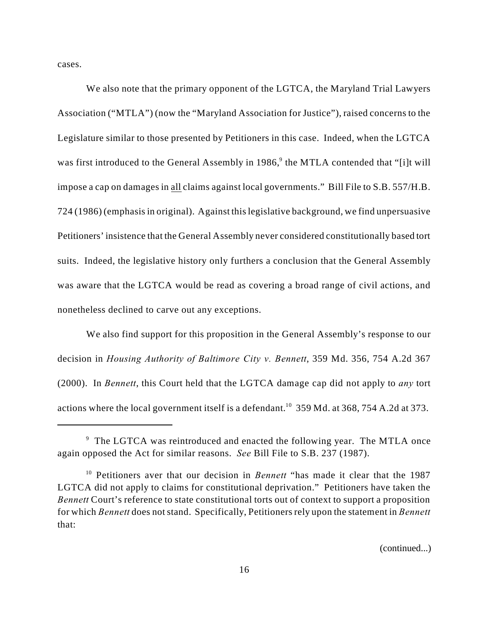cases.

We also note that the primary opponent of the LGTCA, the Maryland Trial Lawyers Association ("MTLA") (now the "Maryland Association for Justice"), raised concerns to the Legislature similar to those presented by Petitioners in this case. Indeed, when the LGTCA was first introduced to the General Assembly in 1986,<sup>9</sup> the MTLA contended that "[i]t will impose a cap on damages in all claims against local governments." Bill File to S.B. 557/H.B. 724 (1986) (emphasis in original). Against this legislative background, we find unpersuasive Petitioners' insistence that the General Assembly never considered constitutionally based tort suits. Indeed, the legislative history only furthers a conclusion that the General Assembly was aware that the LGTCA would be read as covering a broad range of civil actions, and nonetheless declined to carve out any exceptions.

We also find support for this proposition in the General Assembly's response to our decision in *Housing Authority of Baltimore City v. Bennett*, 359 Md. 356, 754 A.2d 367 (2000). In *Bennett*, this Court held that the LGTCA damage cap did not apply to *any* tort actions where the local government itself is a defendant.<sup>10</sup> 359 Md. at 368, 754 A.2d at 373.

(continued...)

 $9$  The LGTCA was reintroduced and enacted the following year. The MTLA once again opposed the Act for similar reasons. *See* Bill File to S.B. 237 (1987).

<sup>&</sup>lt;sup>10</sup> Petitioners aver that our decision in *Bennett* "has made it clear that the 1987 LGTCA did not apply to claims for constitutional deprivation." Petitioners have taken the *Bennett* Court's reference to state constitutional torts out of context to support a proposition for which *Bennett* does not stand. Specifically, Petitioners rely upon the statement in *Bennett* that: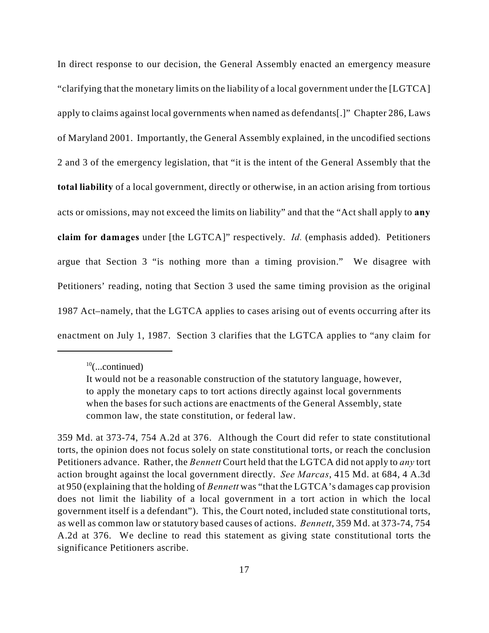In direct response to our decision, the General Assembly enacted an emergency measure "clarifying that the monetary limits on the liability of a local government under the [LGTCA] apply to claims against local governments when named as defendants[.]" Chapter 286, Laws of Maryland 2001. Importantly, the General Assembly explained, in the uncodified sections 2 and 3 of the emergency legislation, that "it is the intent of the General Assembly that the **total liability** of a local government, directly or otherwise, in an action arising from tortious acts or omissions, may not exceed the limits on liability" and that the "Act shall apply to **any claim for damages** under [the LGTCA]" respectively. *Id.* (emphasis added). Petitioners argue that Section 3 "is nothing more than a timing provision." We disagree with Petitioners' reading, noting that Section 3 used the same timing provision as the original 1987 Act–namely, that the LGTCA applies to cases arising out of events occurring after its enactment on July 1, 1987. Section 3 clarifies that the LGTCA applies to "any claim for

 $^{10}$ (...continued)

It would not be a reasonable construction of the statutory language, however, to apply the monetary caps to tort actions directly against local governments when the bases for such actions are enactments of the General Assembly, state common law, the state constitution, or federal law.

<sup>359</sup> Md. at 373-74, 754 A.2d at 376. Although the Court did refer to state constitutional torts, the opinion does not focus solely on state constitutional torts, or reach the conclusion Petitioners advance. Rather, the *Bennett* Court held that the LGTCA did not apply to *any* tort action brought against the local government directly. *See Marcas*, 415 Md. at 684, 4 A.3d at 950 (explaining that the holding of *Bennett* was "that the LGTCA's damages cap provision does not limit the liability of a local government in a tort action in which the local government itself is a defendant"). This, the Court noted, included state constitutional torts, as well as common law or statutory based causes of actions. *Bennett*, 359 Md. at 373-74, 754 A.2d at 376.We decline to read this statement as giving state constitutional torts the significance Petitioners ascribe.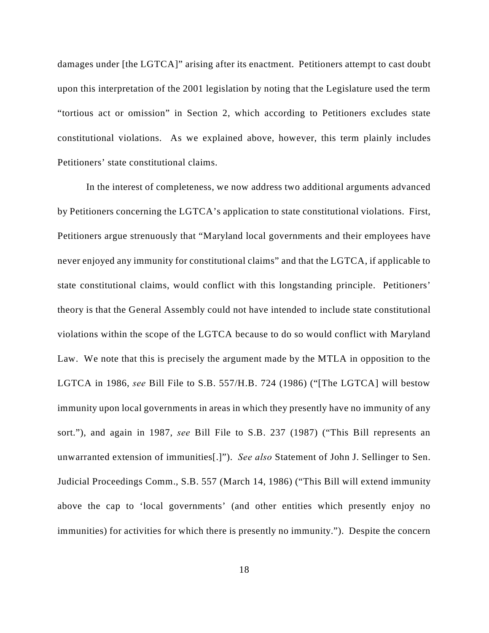damages under [the LGTCA]" arising after its enactment. Petitioners attempt to cast doubt upon this interpretation of the 2001 legislation by noting that the Legislature used the term "tortious act or omission" in Section 2, which according to Petitioners excludes state constitutional violations. As we explained above, however, this term plainly includes Petitioners' state constitutional claims.

In the interest of completeness, we now address two additional arguments advanced by Petitioners concerning the LGTCA's application to state constitutional violations. First, Petitioners argue strenuously that "Maryland local governments and their employees have never enjoyed any immunity for constitutional claims" and that the LGTCA, if applicable to state constitutional claims, would conflict with this longstanding principle. Petitioners' theory is that the General Assembly could not have intended to include state constitutional violations within the scope of the LGTCA because to do so would conflict with Maryland Law. We note that this is precisely the argument made by the MTLA in opposition to the LGTCA in 1986, *see* Bill File to S.B. 557/H.B. 724 (1986) ("[The LGTCA] will bestow immunity upon local governments in areas in which they presently have no immunity of any sort."), and again in 1987, *see* Bill File to S.B. 237 (1987) ("This Bill represents an unwarranted extension of immunities[.]"). *See also* Statement of John J. Sellinger to Sen. Judicial Proceedings Comm., S.B. 557 (March 14, 1986) ("This Bill will extend immunity above the cap to 'local governments' (and other entities which presently enjoy no immunities) for activities for which there is presently no immunity."). Despite the concern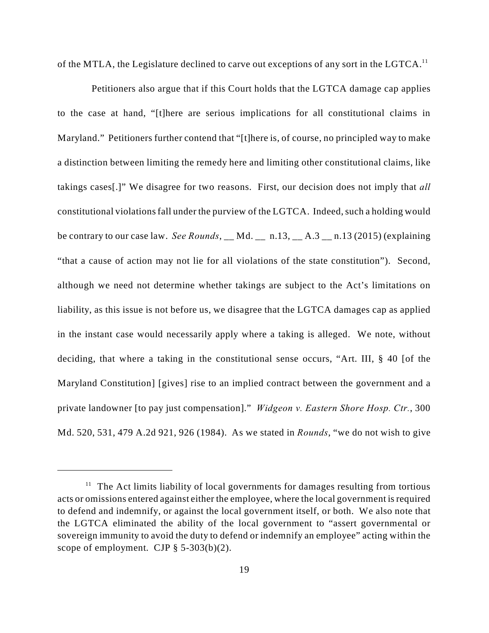of the MTLA, the Legislature declined to carve out exceptions of any sort in the LGTCA.<sup>11</sup>

 Petitioners also argue that if this Court holds that the LGTCA damage cap applies to the case at hand, "[t]here are serious implications for all constitutional claims in Maryland." Petitioners further contend that "[t]here is, of course, no principled way to make a distinction between limiting the remedy here and limiting other constitutional claims, like takings cases[.]" We disagree for two reasons. First, our decision does not imply that *all* constitutional violations fall under the purview of the LGTCA. Indeed, such a holding would be contrary to our case law. *See Rounds*, \_\_ Md. \_\_ n.13, \_\_ A.3 \_\_ n.13 (2015) (explaining "that a cause of action may not lie for all violations of the state constitution"). Second, although we need not determine whether takings are subject to the Act's limitations on liability, as this issue is not before us, we disagree that the LGTCA damages cap as applied in the instant case would necessarily apply where a taking is alleged. We note, without deciding, that where a taking in the constitutional sense occurs, "Art. III, § 40 [of the Maryland Constitution] [gives] rise to an implied contract between the government and a private landowner [to pay just compensation]." *Widgeon v. Eastern Shore Hosp. Ctr.*, 300 Md. 520, 531, 479 A.2d 921, 926 (1984). As we stated in *Rounds*, "we do not wish to give

 $11$  The Act limits liability of local governments for damages resulting from tortious acts or omissions entered against either the employee, where the local government is required to defend and indemnify, or against the local government itself, or both. We also note that the LGTCA eliminated the ability of the local government to "assert governmental or sovereign immunity to avoid the duty to defend or indemnify an employee" acting within the scope of employment. CJP  $\S$  5-303(b)(2).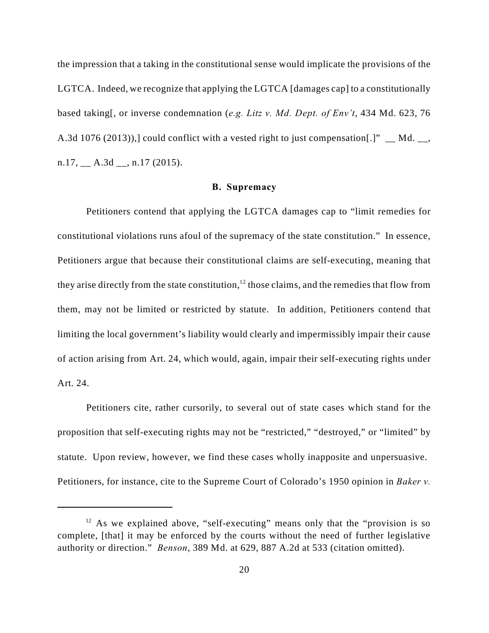the impression that a taking in the constitutional sense would implicate the provisions of the LGTCA. Indeed, we recognize that applying the LGTCA [damages cap] to a constitutionally based taking[, or inverse condemnation (*e.g. Litz v. Md. Dept. of Env't*, 434 Md. 623, 76 A.3d 1076 (2013)), could conflict with a vested right to just compensation[.]" Md.  $n.17, \_\_\_$  A.3d  $\_\_\_$ ,  $n.17$  (2015).

#### **B. Supremacy**

Petitioners contend that applying the LGTCA damages cap to "limit remedies for constitutional violations runs afoul of the supremacy of the state constitution." In essence, Petitioners argue that because their constitutional claims are self-executing, meaning that they arise directly from the state constitution,  $12$  those claims, and the remedies that flow from them, may not be limited or restricted by statute. In addition, Petitioners contend that limiting the local government's liability would clearly and impermissibly impair their cause of action arising from Art. 24, which would, again, impair their self-executing rights under Art. 24.

Petitioners cite, rather cursorily, to several out of state cases which stand for the proposition that self-executing rights may not be "restricted," "destroyed," or "limited" by statute. Upon review, however, we find these cases wholly inapposite and unpersuasive. Petitioners, for instance, cite to the Supreme Court of Colorado's 1950 opinion in *Baker v.*

 $12$  As we explained above, "self-executing" means only that the "provision is so complete, [that] it may be enforced by the courts without the need of further legislative authority or direction." *Benson*, 389 Md. at 629, 887 A.2d at 533 (citation omitted).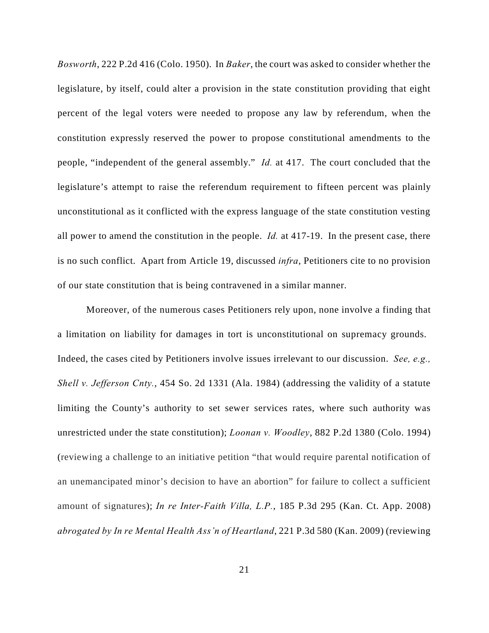*Bosworth*, 222 P.2d 416 (Colo. 1950). In *Baker*, the court was asked to consider whether the legislature, by itself, could alter a provision in the state constitution providing that eight percent of the legal voters were needed to propose any law by referendum, when the constitution expressly reserved the power to propose constitutional amendments to the people, "independent of the general assembly." *Id.* at 417. The court concluded that the legislature's attempt to raise the referendum requirement to fifteen percent was plainly unconstitutional as it conflicted with the express language of the state constitution vesting all power to amend the constitution in the people. *Id.* at 417-19. In the present case, there is no such conflict. Apart from Article 19, discussed *infra*, Petitioners cite to no provision of our state constitution that is being contravened in a similar manner.

Moreover, of the numerous cases Petitioners rely upon, none involve a finding that a limitation on liability for damages in tort is unconstitutional on supremacy grounds. Indeed, the cases cited by Petitioners involve issues irrelevant to our discussion. *See, e.g., Shell v. Jefferson Cnty.*, 454 So. 2d 1331 (Ala. 1984) (addressing the validity of a statute limiting the County's authority to set sewer services rates, where such authority was unrestricted under the state constitution); *Loonan v. Woodley*, 882 P.2d 1380 (Colo. 1994) (reviewing a challenge to an initiative petition "that would require parental notification of an unemancipated minor's decision to have an abortion" for failure to collect a sufficient amount of signatures); *In re Inter-Faith Villa, L.P.*, 185 P.3d 295 (Kan. Ct. App. 2008) *abrogated by In re Mental Health Ass'n of Heartland*, 221 P.3d 580 (Kan. 2009) (reviewing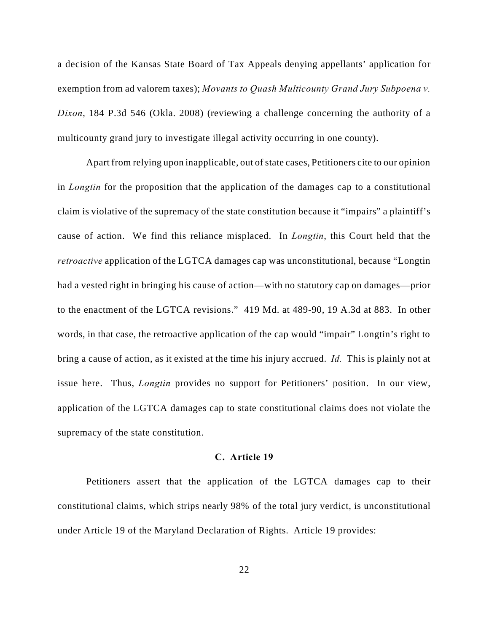a decision of the Kansas State Board of Tax Appeals denying appellants' application for exemption from ad valorem taxes); *Movants to Quash Multicounty Grand Jury Subpoena v. Dixon*, 184 P.3d 546 (Okla. 2008) (reviewing a challenge concerning the authority of a multicounty grand jury to investigate illegal activity occurring in one county).

Apart from relying upon inapplicable, out of state cases, Petitioners cite to our opinion in *Longtin* for the proposition that the application of the damages cap to a constitutional claim is violative of the supremacy of the state constitution because it "impairs" a plaintiff's cause of action. We find this reliance misplaced. In *Longtin*, this Court held that the *retroactive* application of the LGTCA damages cap was unconstitutional, because "Longtin had a vested right in bringing his cause of action—with no statutory cap on damages—prior to the enactment of the LGTCA revisions." 419 Md. at 489-90, 19 A.3d at 883. In other words, in that case, the retroactive application of the cap would "impair" Longtin's right to bring a cause of action, as it existed at the time his injury accrued. *Id.* This is plainly not at issue here. Thus, *Longtin* provides no support for Petitioners' position. In our view, application of the LGTCA damages cap to state constitutional claims does not violate the supremacy of the state constitution.

### **C. Article 19**

Petitioners assert that the application of the LGTCA damages cap to their constitutional claims, which strips nearly 98% of the total jury verdict, is unconstitutional under Article 19 of the Maryland Declaration of Rights. Article 19 provides: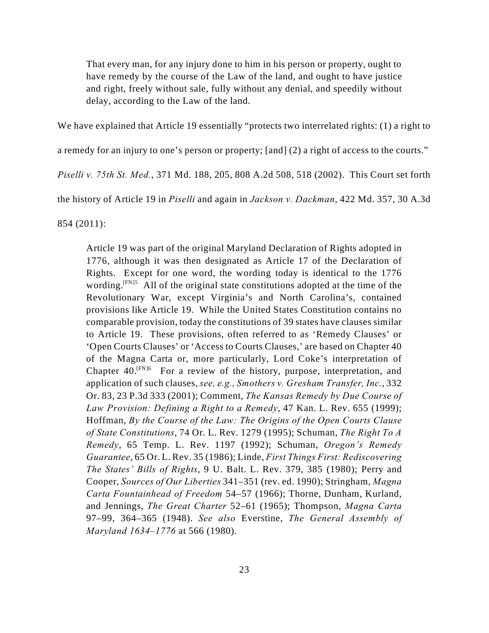That every man, for any injury done to him in his person or property, ought to have remedy by the course of the Law of the land, and ought to have justice and right, freely without sale, fully without any denial, and speedily without delay, according to the Law of the land.

We have explained that Article 19 essentially "protects two interrelated rights: (1) a right to

a remedy for an injury to one's person or property; [and] (2) a right of access to the courts."

*Piselli v. 75th St. Med.*, 371 Md. 188, 205, 808 A.2d 508, 518 (2002). This Court set forth

the history of Article 19 in *Piselli* and again in *Jackson v. Dackman*, 422 Md. 357, 30 A.3d

854 (2011):

Article 19 was part of the original Maryland Declaration of Rights adopted in 1776, although it was then designated as Article 17 of the Declaration of Rights. Except for one word, the wording today is identical to the 1776 wording.  $[FN]5$  All of the original state constitutions adopted at the time of the Revolutionary War, except Virginia's and North Carolina's, contained provisions like Article 19. While the United States Constitution contains no comparable provision, today the constitutions of 39 states have clauses similar to Article 19. These provisions, often referred to as 'Remedy Clauses' or 'Open Courts Clauses' or 'Access to Courts Clauses,' are based on Chapter 40 of the Magna Carta or, more particularly, Lord Coke's interpretation of Chapter  $40.^{\text{[FN]6}}$  For a review of the history, purpose, interpretation, and application of such clauses, *see, e.g., Smothers v. Gresham Transfer, Inc.*, 332 Or. 83, 23 P.3d 333 (2001); Comment, *The Kansas Remedy by Due Course of Law Provision: Defining a Right to a Remedy*, 47 Kan. L. Rev. 655 (1999); Hoffman, *By the Course of the Law: The Origins of the Open Courts Clause of State Constitutions*, 74 Or. L. Rev. 1279 (1995); Schuman, *The Right To A Remedy*, 65 Temp. L. Rev. 1197 (1992); Schuman, *Oregon's Remedy Guarantee*, 65 Or. L. Rev. 35 (1986); Linde, *First Things First: Rediscovering The States' Bills of Rights*, 9 U. Balt. L. Rev. 379, 385 (1980); Perry and Cooper, *Sources of Our Liberties* 341–351 (rev. ed. 1990); Stringham, *Magna Carta Fountainhead of Freedom* 54–57 (1966); Thorne, Dunham, Kurland, and Jennings, *The Great Charter* 52–61 (1965); Thompson, *Magna Carta* 97–99, 364–365 (1948). *See also* Everstine, *The General Assembly of Maryland 1634–1776* at 566 (1980).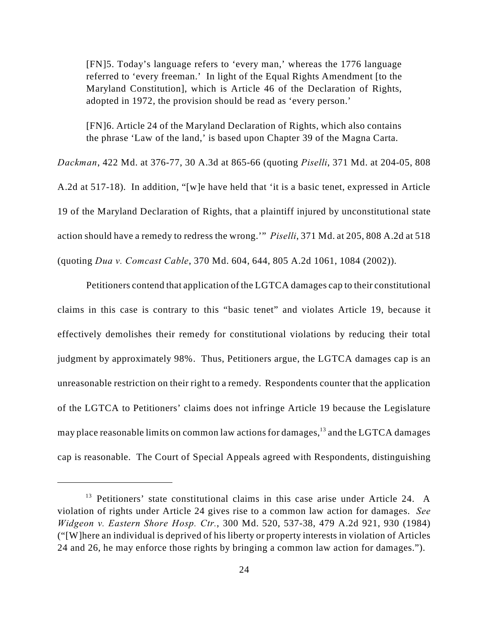[FN]5. Today's language refers to 'every man,' whereas the 1776 language referred to 'every freeman.' In light of the Equal Rights Amendment [to the Maryland Constitution], which is Article 46 of the Declaration of Rights, adopted in 1972, the provision should be read as 'every person.'

[FN]6. Article 24 of the Maryland Declaration of Rights, which also contains the phrase 'Law of the land,' is based upon Chapter 39 of the Magna Carta.

*Dackman*, 422 Md. at 376-77, 30 A.3d at 865-66 (quoting *Piselli*, 371 Md. at 204-05, 808 A.2d at 517-18). In addition, "[w]e have held that 'it is a basic tenet, expressed in Article 19 of the Maryland Declaration of Rights, that a plaintiff injured by unconstitutional state action should have a remedy to redress the wrong.'" *Piselli*, 371 Md. at 205, 808 A.2d at 518 (quoting *Dua v. Comcast Cable*, 370 Md. 604, 644, 805 A.2d 1061, 1084 (2002)).

Petitioners contend that application of the LGTCA damages cap to their constitutional claims in this case is contrary to this "basic tenet" and violates Article 19, because it effectively demolishes their remedy for constitutional violations by reducing their total judgment by approximately 98%. Thus, Petitioners argue, the LGTCA damages cap is an unreasonable restriction on their right to a remedy. Respondents counter that the application of the LGTCA to Petitioners' claims does not infringe Article 19 because the Legislature may place reasonable limits on common law actions for damages,  $13$  and the LGTCA damages cap is reasonable. The Court of Special Appeals agreed with Respondents, distinguishing

 $13$  Petitioners' state constitutional claims in this case arise under Article 24. A violation of rights under Article 24 gives rise to a common law action for damages. *See Widgeon v. Eastern Shore Hosp. Ctr.*, 300 Md. 520, 537-38, 479 A.2d 921, 930 (1984) ("[W]here an individual is deprived of his liberty or property interests in violation of Articles 24 and 26, he may enforce those rights by bringing a common law action for damages.").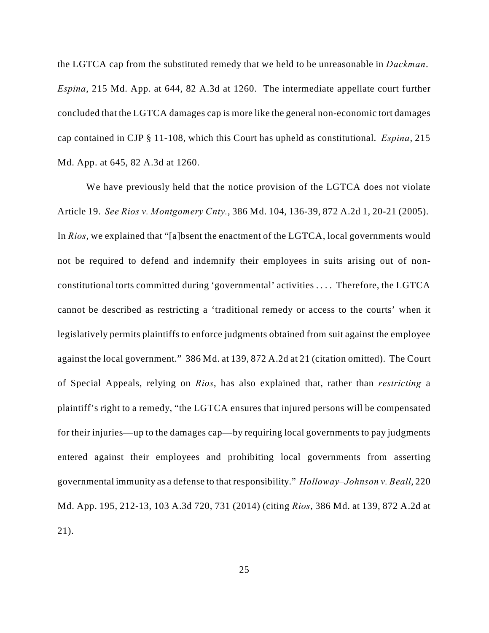the LGTCA cap from the substituted remedy that we held to be unreasonable in *Dackman*. *Espina*, 215 Md. App. at 644, 82 A.3d at 1260. The intermediate appellate court further concluded that the LGTCA damages cap is more like the general non-economic tort damages cap contained in CJP § 11-108, which this Court has upheld as constitutional. *Espina*, 215 Md. App. at 645, 82 A.3d at 1260.

We have previously held that the notice provision of the LGTCA does not violate Article 19. *See Rios v. Montgomery Cnty.*, 386 Md. 104, 136-39, 872 A.2d 1, 20-21 (2005). In *Rios*, we explained that "[a]bsent the enactment of the LGTCA, local governments would not be required to defend and indemnify their employees in suits arising out of nonconstitutional torts committed during 'governmental' activities . . . . Therefore, the LGTCA cannot be described as restricting a 'traditional remedy or access to the courts' when it legislatively permits plaintiffs to enforce judgments obtained from suit against the employee against the local government." 386 Md. at 139, 872 A.2d at 21 (citation omitted). The Court of Special Appeals, relying on *Rios*, has also explained that, rather than *restricting* a plaintiff's right to a remedy, "the LGTCA ensures that injured persons will be compensated for their injuries—up to the damages cap—by requiring local governments to pay judgments entered against their employees and prohibiting local governments from asserting governmental immunity as a defense to that responsibility." *Holloway–Johnson v. Beall*, 220 Md. App. 195, 212-13, 103 A.3d 720, 731 (2014) (citing *Rios*, 386 Md. at 139, 872 A.2d at 21).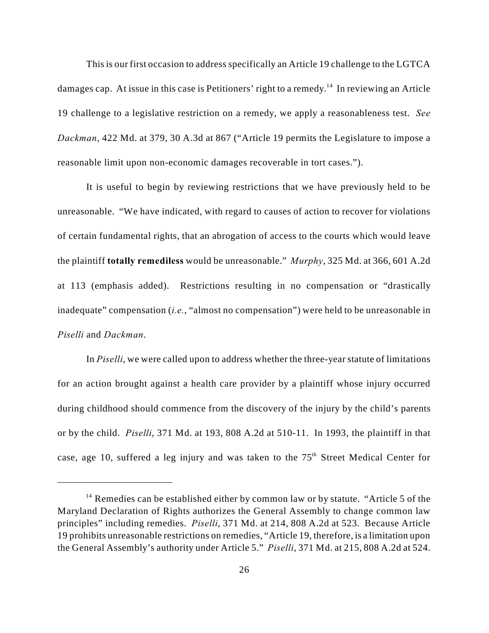This is our first occasion to address specifically an Article 19 challenge to the LGTCA damages cap. At issue in this case is Petitioners' right to a remedy.<sup>14</sup> In reviewing an Article 19 challenge to a legislative restriction on a remedy, we apply a reasonableness test. *See Dackman*, 422 Md. at 379, 30 A.3d at 867 ("Article 19 permits the Legislature to impose a reasonable limit upon non-economic damages recoverable in tort cases.").

It is useful to begin by reviewing restrictions that we have previously held to be unreasonable. "We have indicated, with regard to causes of action to recover for violations of certain fundamental rights, that an abrogation of access to the courts which would leave the plaintiff **totally remediless** would be unreasonable." *Murphy*, 325 Md. at 366, 601 A.2d at 113 (emphasis added). Restrictions resulting in no compensation or "drastically inadequate" compensation (*i.e.*, "almost no compensation") were held to be unreasonable in *Piselli* and *Dackman*.

In *Piselli*, we were called upon to address whether the three-year statute of limitations for an action brought against a health care provider by a plaintiff whose injury occurred during childhood should commence from the discovery of the injury by the child's parents or by the child. *Piselli*, 371 Md. at 193, 808 A.2d at 510-11. In 1993, the plaintiff in that case, age 10, suffered a leg injury and was taken to the  $75<sup>th</sup>$  Street Medical Center for

 $14$  Remedies can be established either by common law or by statute. "Article 5 of the Maryland Declaration of Rights authorizes the General Assembly to change common law principles" including remedies. *Piselli*, 371 Md. at 214, 808 A.2d at 523. Because Article 19 prohibits unreasonable restrictions on remedies, "Article 19, therefore, is a limitation upon the General Assembly's authority under Article 5." *Piselli*, 371 Md. at 215, 808 A.2d at 524.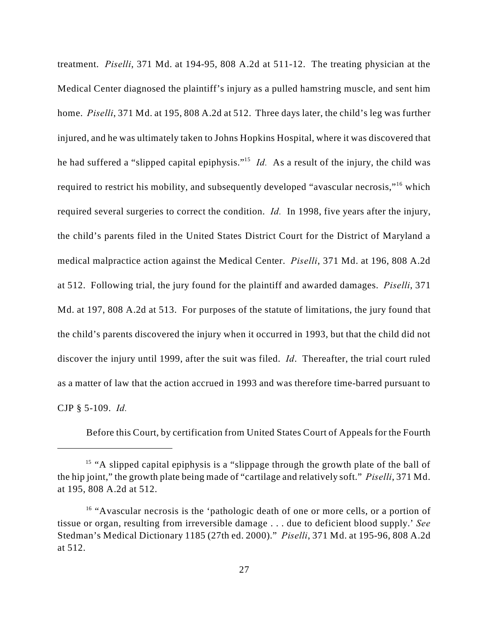treatment. *Piselli*, 371 Md. at 194-95, 808 A.2d at 511-12. The treating physician at the Medical Center diagnosed the plaintiff's injury as a pulled hamstring muscle, and sent him home. *Piselli*, 371 Md. at 195, 808 A.2d at 512. Three days later, the child's leg was further injured, and he was ultimately taken to Johns Hopkins Hospital, where it was discovered that he had suffered a "slipped capital epiphysis."<sup>15</sup> *Id.* As a result of the injury, the child was required to restrict his mobility, and subsequently developed "avascular necrosis,"<sup>16</sup> which required several surgeries to correct the condition. *Id.* In 1998, five years after the injury, the child's parents filed in the United States District Court for the District of Maryland a medical malpractice action against the Medical Center. *Piselli*, 371 Md. at 196, 808 A.2d at 512. Following trial, the jury found for the plaintiff and awarded damages. *Piselli*, 371 Md. at 197, 808 A.2d at 513. For purposes of the statute of limitations, the jury found that the child's parents discovered the injury when it occurred in 1993, but that the child did not discover the injury until 1999, after the suit was filed. *Id*. Thereafter, the trial court ruled as a matter of law that the action accrued in 1993 and was therefore time-barred pursuant to CJP § 5-109. *Id.*

Before this Court, by certification from United States Court of Appeals for the Fourth

 $<sup>15</sup>$  "A slipped capital epiphysis is a "slippage through the growth plate of the ball of</sup> the hip joint," the growth plate being made of "cartilage and relatively soft." *Piselli*, 371 Md. at 195, 808 A.2d at 512.

 $<sup>16</sup>$  "Avascular necrosis is the 'pathologic death of one or more cells, or a portion of</sup> tissue or organ, resulting from irreversible damage . . . due to deficient blood supply.' *See* Stedman's Medical Dictionary 1185 (27th ed. 2000)." *Piselli*, 371 Md. at 195-96, 808 A.2d at 512.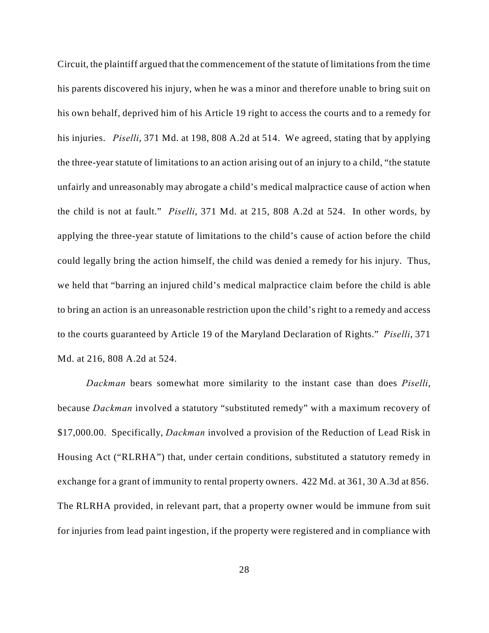Circuit, the plaintiff argued that the commencement of the statute of limitations from the time his parents discovered his injury, when he was a minor and therefore unable to bring suit on his own behalf, deprived him of his Article 19 right to access the courts and to a remedy for his injuries. *Piselli*, 371 Md. at 198, 808 A.2d at 514. We agreed, stating that by applying the three-year statute of limitations to an action arising out of an injury to a child, "the statute unfairly and unreasonably may abrogate a child's medical malpractice cause of action when the child is not at fault." *Piselli*, 371 Md. at 215, 808 A.2d at 524. In other words, by applying the three-year statute of limitations to the child's cause of action before the child could legally bring the action himself, the child was denied a remedy for his injury. Thus, we held that "barring an injured child's medical malpractice claim before the child is able to bring an action is an unreasonable restriction upon the child's right to a remedy and access to the courts guaranteed by Article 19 of the Maryland Declaration of Rights." *Piselli*, 371 Md. at 216, 808 A.2d at 524.

*Dackman* bears somewhat more similarity to the instant case than does *Piselli*, because *Dackman* involved a statutory "substituted remedy" with a maximum recovery of \$17,000.00. Specifically, *Dackman* involved a provision of the Reduction of Lead Risk in Housing Act ("RLRHA") that, under certain conditions, substituted a statutory remedy in exchange for a grant of immunity to rental property owners. 422 Md. at 361, 30 A.3d at 856. The RLRHA provided, in relevant part, that a property owner would be immune from suit for injuries from lead paint ingestion, if the property were registered and in compliance with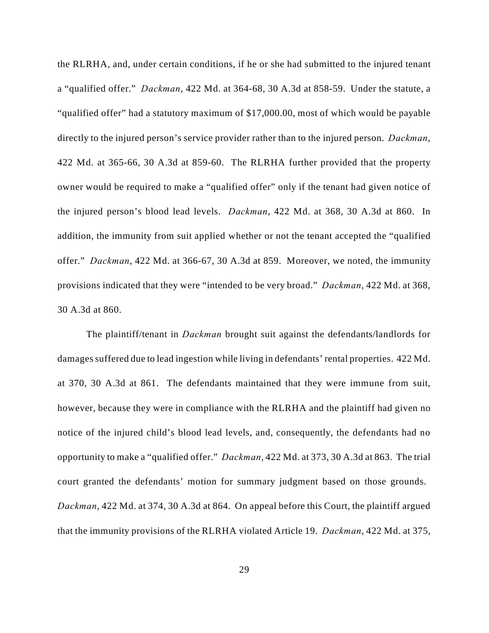the RLRHA, and, under certain conditions, if he or she had submitted to the injured tenant a "qualified offer." *Dackman*, 422 Md. at 364-68, 30 A.3d at 858-59. Under the statute, a "qualified offer" had a statutory maximum of \$17,000.00, most of which would be payable directly to the injured person's service provider rather than to the injured person. *Dackman*, 422 Md. at 365-66, 30 A.3d at 859-60. The RLRHA further provided that the property owner would be required to make a "qualified offer" only if the tenant had given notice of the injured person's blood lead levels. *Dackman*, 422 Md. at 368, 30 A.3d at 860. In addition, the immunity from suit applied whether or not the tenant accepted the "qualified offer." *Dackman*, 422 Md. at 366-67, 30 A.3d at 859. Moreover, we noted, the immunity provisions indicated that they were "intended to be very broad." *Dackman*, 422 Md. at 368, 30 A.3d at 860.

The plaintiff/tenant in *Dackman* brought suit against the defendants/landlords for damages suffered due to lead ingestion while living in defendants' rental properties. 422 Md. at 370, 30 A.3d at 861. The defendants maintained that they were immune from suit, however, because they were in compliance with the RLRHA and the plaintiff had given no notice of the injured child's blood lead levels, and, consequently, the defendants had no opportunity to make a "qualified offer." *Dackman*, 422 Md. at 373, 30 A.3d at 863. The trial court granted the defendants' motion for summary judgment based on those grounds. *Dackman*, 422 Md. at 374, 30 A.3d at 864. On appeal before this Court, the plaintiff argued that the immunity provisions of the RLRHA violated Article 19. *Dackman*, 422 Md. at 375,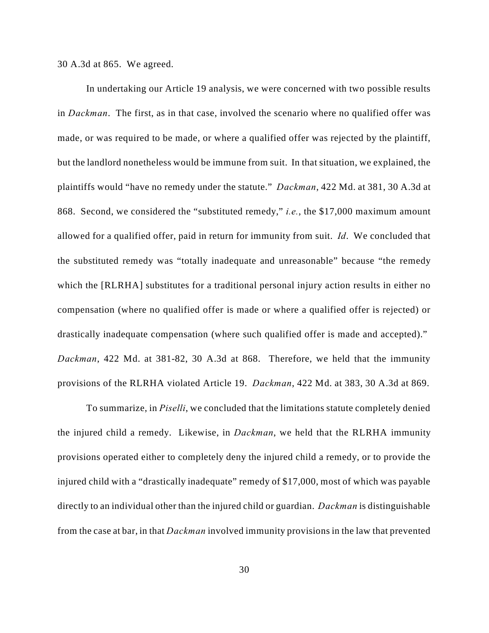#### 30 A.3d at 865. We agreed.

In undertaking our Article 19 analysis, we were concerned with two possible results in *Dackman*. The first, as in that case, involved the scenario where no qualified offer was made, or was required to be made, or where a qualified offer was rejected by the plaintiff, but the landlord nonetheless would be immune from suit. In that situation, we explained, the plaintiffs would "have no remedy under the statute." *Dackman*, 422 Md. at 381, 30 A.3d at 868. Second, we considered the "substituted remedy," *i.e.*, the \$17,000 maximum amount allowed for a qualified offer, paid in return for immunity from suit. *Id*. We concluded that the substituted remedy was "totally inadequate and unreasonable" because "the remedy which the [RLRHA] substitutes for a traditional personal injury action results in either no compensation (where no qualified offer is made or where a qualified offer is rejected) or drastically inadequate compensation (where such qualified offer is made and accepted)." *Dackman*, 422 Md. at 381-82, 30 A.3d at 868. Therefore, we held that the immunity provisions of the RLRHA violated Article 19. *Dackman*, 422 Md. at 383, 30 A.3d at 869.

To summarize, in *Piselli*, we concluded that the limitations statute completely denied the injured child a remedy. Likewise, in *Dackman*, we held that the RLRHA immunity provisions operated either to completely deny the injured child a remedy, or to provide the injured child with a "drastically inadequate" remedy of \$17,000, most of which was payable directly to an individual other than the injured child or guardian. *Dackman* is distinguishable from the case at bar, in that *Dackman* involved immunity provisions in the law that prevented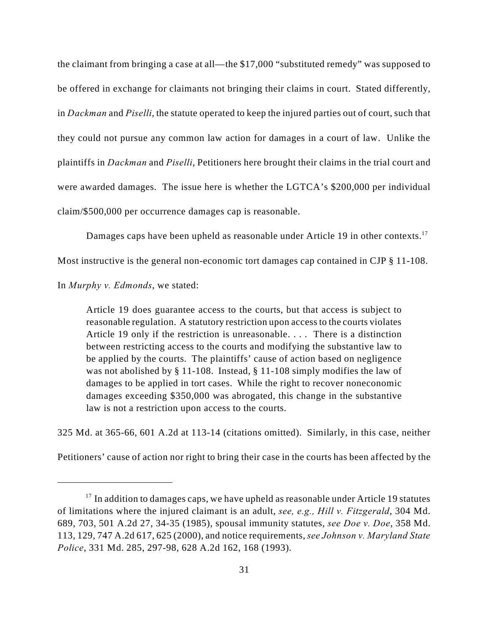the claimant from bringing a case at all—the \$17,000 "substituted remedy" was supposed to be offered in exchange for claimants not bringing their claims in court. Stated differently, in *Dackman* and *Piselli*, the statute operated to keep the injured parties out of court, such that they could not pursue any common law action for damages in a court of law. Unlike the plaintiffs in *Dackman* and *Piselli*, Petitioners here brought their claims in the trial court and were awarded damages. The issue here is whether the LGTCA's \$200,000 per individual claim/\$500,000 per occurrence damages cap is reasonable.

Damages caps have been upheld as reasonable under Article 19 in other contexts.<sup>17</sup>

Most instructive is the general non-economic tort damages cap contained in CJP § 11-108.

In *Murphy v. Edmonds*, we stated:

Article 19 does guarantee access to the courts, but that access is subject to reasonable regulation. A statutory restriction upon access to the courts violates Article 19 only if the restriction is unreasonable. . . . There is a distinction between restricting access to the courts and modifying the substantive law to be applied by the courts. The plaintiffs' cause of action based on negligence was not abolished by § 11-108. Instead, § 11-108 simply modifies the law of damages to be applied in tort cases. While the right to recover noneconomic damages exceeding \$350,000 was abrogated, this change in the substantive law is not a restriction upon access to the courts.

325 Md. at 365-66, 601 A.2d at 113-14 (citations omitted). Similarly, in this case, neither

Petitioners' cause of action nor right to bring their case in the courts has been affected by the

 $17$  In addition to damages caps, we have upheld as reasonable under Article 19 statutes of limitations where the injured claimant is an adult, *see, e.g., Hill v. Fitzgerald*, 304 Md. 689, 703, 501 A.2d 27, 34-35 (1985), spousal immunity statutes, *see Doe v. Doe*, 358 Md. 113, 129, 747 A.2d 617, 625 (2000), and notice requirements, *see Johnson v. Maryland State Police*, 331 Md. 285, 297-98, 628 A.2d 162, 168 (1993).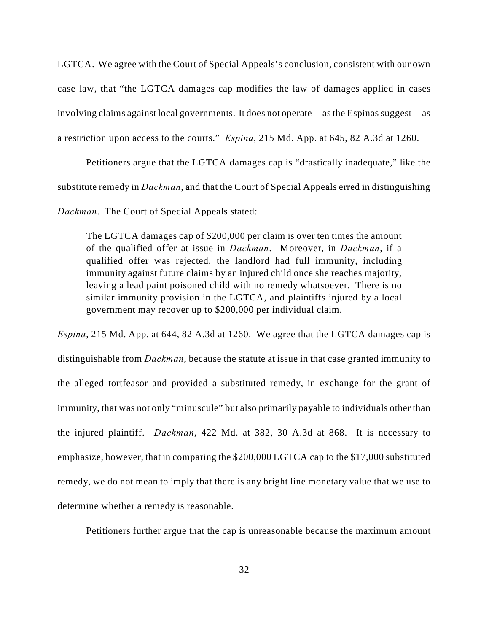LGTCA. We agree with the Court of Special Appeals's conclusion, consistent with our own case law, that "the LGTCA damages cap modifies the law of damages applied in cases involving claims against local governments. It does not operate—as the Espinas suggest—as a restriction upon access to the courts." *Espina*, 215 Md. App. at 645, 82 A.3d at 1260.

Petitioners argue that the LGTCA damages cap is "drastically inadequate," like the substitute remedy in *Dackman*, and that the Court of Special Appeals erred in distinguishing

*Dackman*. The Court of Special Appeals stated:

The LGTCA damages cap of \$200,000 per claim is over ten times the amount of the qualified offer at issue in *Dackman*. Moreover, in *Dackman*, if a qualified offer was rejected, the landlord had full immunity, including immunity against future claims by an injured child once she reaches majority, leaving a lead paint poisoned child with no remedy whatsoever. There is no similar immunity provision in the LGTCA, and plaintiffs injured by a local government may recover up to \$200,000 per individual claim.

*Espina*, 215 Md. App. at 644, 82 A.3d at 1260. We agree that the LGTCA damages cap is distinguishable from *Dackman*, because the statute at issue in that case granted immunity to the alleged tortfeasor and provided a substituted remedy, in exchange for the grant of immunity, that was not only "minuscule" but also primarily payable to individuals other than the injured plaintiff. *Dackman*, 422 Md. at 382, 30 A.3d at 868. It is necessary to emphasize, however, that in comparing the \$200,000 LGTCA cap to the \$17,000 substituted remedy, we do not mean to imply that there is any bright line monetary value that we use to determine whether a remedy is reasonable.

Petitioners further argue that the cap is unreasonable because the maximum amount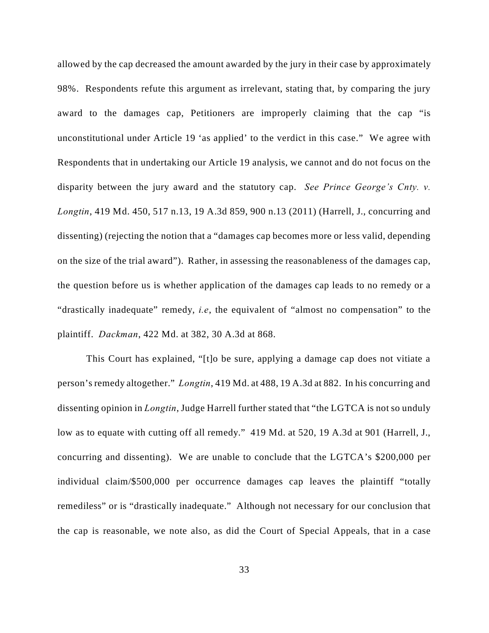allowed by the cap decreased the amount awarded by the jury in their case by approximately 98%. Respondents refute this argument as irrelevant, stating that, by comparing the jury award to the damages cap, Petitioners are improperly claiming that the cap "is unconstitutional under Article 19 'as applied' to the verdict in this case." We agree with Respondents that in undertaking our Article 19 analysis, we cannot and do not focus on the disparity between the jury award and the statutory cap. *See Prince George's Cnty. v. Longtin*, 419 Md. 450, 517 n.13, 19 A.3d 859, 900 n.13 (2011) (Harrell, J., concurring and dissenting) (rejecting the notion that a "damages cap becomes more or less valid, depending on the size of the trial award"). Rather, in assessing the reasonableness of the damages cap, the question before us is whether application of the damages cap leads to no remedy or a "drastically inadequate" remedy, *i.e*, the equivalent of "almost no compensation" to the plaintiff. *Dackman*, 422 Md. at 382, 30 A.3d at 868.

This Court has explained, "[t]o be sure, applying a damage cap does not vitiate a person's remedy altogether." *Longtin*, 419 Md. at 488, 19 A.3d at 882. In his concurring and dissenting opinion in *Longtin*, Judge Harrell further stated that "the LGTCA is not so unduly low as to equate with cutting off all remedy." 419 Md. at 520, 19 A.3d at 901 (Harrell, J., concurring and dissenting). We are unable to conclude that the LGTCA's \$200,000 per individual claim/\$500,000 per occurrence damages cap leaves the plaintiff "totally remediless" or is "drastically inadequate." Although not necessary for our conclusion that the cap is reasonable, we note also, as did the Court of Special Appeals, that in a case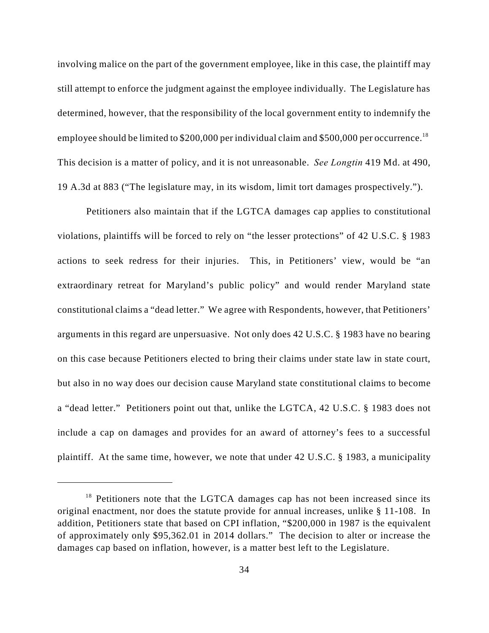involving malice on the part of the government employee, like in this case, the plaintiff may still attempt to enforce the judgment against the employee individually. The Legislature has determined, however, that the responsibility of the local government entity to indemnify the employee should be limited to \$200,000 per individual claim and \$500,000 per occurrence.<sup>18</sup> This decision is a matter of policy, and it is not unreasonable. *See Longtin* 419 Md. at 490, 19 A.3d at 883 ("The legislature may, in its wisdom, limit tort damages prospectively.").

Petitioners also maintain that if the LGTCA damages cap applies to constitutional violations, plaintiffs will be forced to rely on "the lesser protections" of 42 U.S.C. § 1983 actions to seek redress for their injuries. This, in Petitioners' view, would be "an extraordinary retreat for Maryland's public policy" and would render Maryland state constitutional claims a "dead letter." We agree with Respondents, however, that Petitioners' arguments in this regard are unpersuasive. Not only does 42 U.S.C. § 1983 have no bearing on this case because Petitioners elected to bring their claims under state law in state court, but also in no way does our decision cause Maryland state constitutional claims to become a "dead letter." Petitioners point out that, unlike the LGTCA, 42 U.S.C. § 1983 does not include a cap on damages and provides for an award of attorney's fees to a successful plaintiff. At the same time, however, we note that under 42 U.S.C. § 1983, a municipality

 $18$  Petitioners note that the LGTCA damages cap has not been increased since its original enactment, nor does the statute provide for annual increases, unlike § 11-108. In addition, Petitioners state that based on CPI inflation, "\$200,000 in 1987 is the equivalent of approximately only \$95,362.01 in 2014 dollars." The decision to alter or increase the damages cap based on inflation, however, is a matter best left to the Legislature.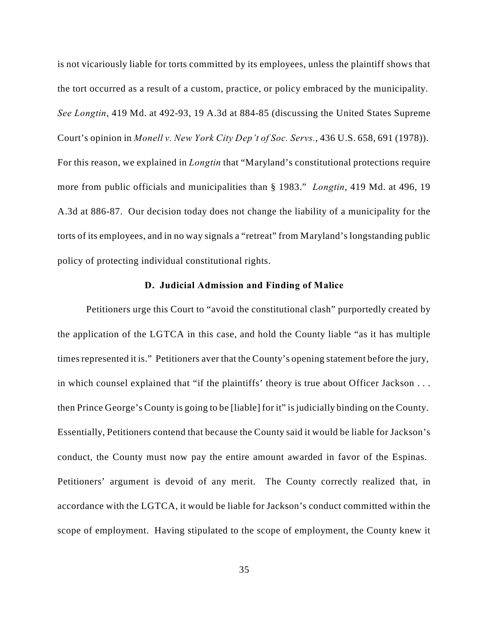is not vicariously liable for torts committed by its employees, unless the plaintiff shows that the tort occurred as a result of a custom, practice, or policy embraced by the municipality. *See Longtin*, 419 Md. at 492-93, 19 A.3d at 884-85 (discussing the United States Supreme Court's opinion in *Monell v. New York City Dep't of Soc. Servs.*, 436 U.S. 658, 691 (1978)). For this reason, we explained in *Longtin* that "Maryland's constitutional protections require more from public officials and municipalities than § 1983." *Longtin*, 419 Md. at 496, 19 A.3d at 886-87. Our decision today does not change the liability of a municipality for the torts of its employees, and in no way signals a "retreat" from Maryland's longstanding public policy of protecting individual constitutional rights.

#### **D. Judicial Admission and Finding of Malice**

Petitioners urge this Court to "avoid the constitutional clash" purportedly created by the application of the LGTCA in this case, and hold the County liable "as it has multiple times represented it is." Petitioners aver that the County's opening statement before the jury, in which counsel explained that "if the plaintiffs' theory is true about Officer Jackson . . . then Prince George's County is going to be [liable] for it" is judicially binding on the County. Essentially, Petitioners contend that because the County said it would be liable for Jackson's conduct, the County must now pay the entire amount awarded in favor of the Espinas. Petitioners' argument is devoid of any merit. The County correctly realized that, in accordance with the LGTCA, it would be liable for Jackson's conduct committed within the scope of employment. Having stipulated to the scope of employment, the County knew it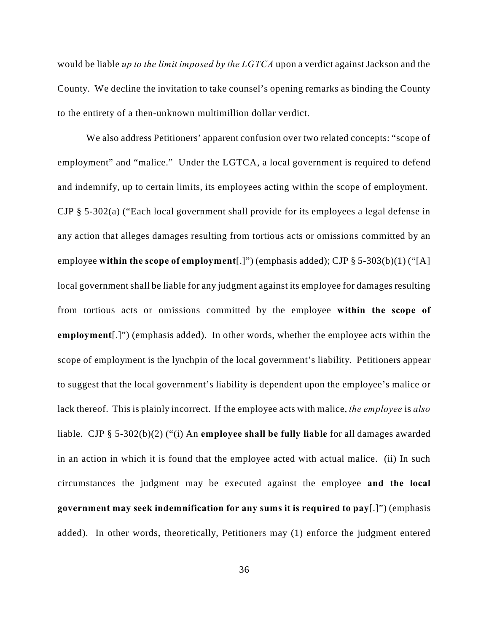would be liable *up to the limit imposed by the LGTCA* upon a verdict against Jackson and the County. We decline the invitation to take counsel's opening remarks as binding the County to the entirety of a then-unknown multimillion dollar verdict.

We also address Petitioners' apparent confusion over two related concepts: "scope of employment" and "malice." Under the LGTCA, a local government is required to defend and indemnify, up to certain limits, its employees acting within the scope of employment. CJP § 5-302(a) ("Each local government shall provide for its employees a legal defense in any action that alleges damages resulting from tortious acts or omissions committed by an employee **within the scope of employment**[.]") (emphasis added); CJP § 5-303(b)(1) ("[A] local government shall be liable for any judgment against its employee for damages resulting from tortious acts or omissions committed by the employee **within the scope of employment**[.]") (emphasis added). In other words, whether the employee acts within the scope of employment is the lynchpin of the local government's liability. Petitioners appear to suggest that the local government's liability is dependent upon the employee's malice or lack thereof. This is plainly incorrect. If the employee acts with malice, *the employee* is *also* liable. CJP § 5-302(b)(2) ("(i) An **employee shall be fully liable** for all damages awarded in an action in which it is found that the employee acted with actual malice. (ii) In such circumstances the judgment may be executed against the employee **and the local government may seek indemnification for any sums it is required to pay**[.]") (emphasis added). In other words, theoretically, Petitioners may (1) enforce the judgment entered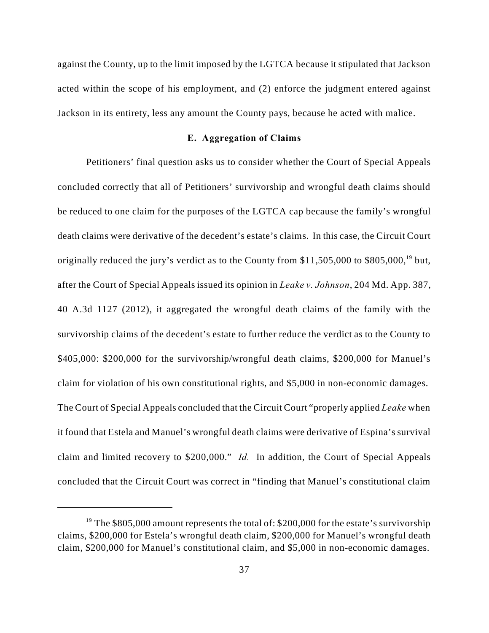against the County, up to the limit imposed by the LGTCA because it stipulated that Jackson acted within the scope of his employment, and (2) enforce the judgment entered against Jackson in its entirety, less any amount the County pays, because he acted with malice.

### **E. Aggregation of Claims**

Petitioners' final question asks us to consider whether the Court of Special Appeals concluded correctly that all of Petitioners' survivorship and wrongful death claims should be reduced to one claim for the purposes of the LGTCA cap because the family's wrongful death claims were derivative of the decedent's estate's claims. In this case, the Circuit Court originally reduced the jury's verdict as to the County from  $$11,505,000$  to  $$805,000$ ,<sup>19</sup> but, after the Court of Special Appeals issued its opinion in *Leake v. Johnson*, 204 Md. App. 387, 40 A.3d 1127 (2012), it aggregated the wrongful death claims of the family with the survivorship claims of the decedent's estate to further reduce the verdict as to the County to \$405,000: \$200,000 for the survivorship/wrongful death claims, \$200,000 for Manuel's claim for violation of his own constitutional rights, and \$5,000 in non-economic damages. The Court of Special Appeals concluded that the Circuit Court "properly applied *Leake* when it found that Estela and Manuel's wrongful death claims were derivative of Espina's survival claim and limited recovery to \$200,000." *Id.* In addition, the Court of Special Appeals concluded that the Circuit Court was correct in "finding that Manuel's constitutional claim

<sup>&</sup>lt;sup>19</sup> The \$805,000 amount represents the total of: \$200,000 for the estate's survivorship claims, \$200,000 for Estela's wrongful death claim, \$200,000 for Manuel's wrongful death claim, \$200,000 for Manuel's constitutional claim, and \$5,000 in non-economic damages.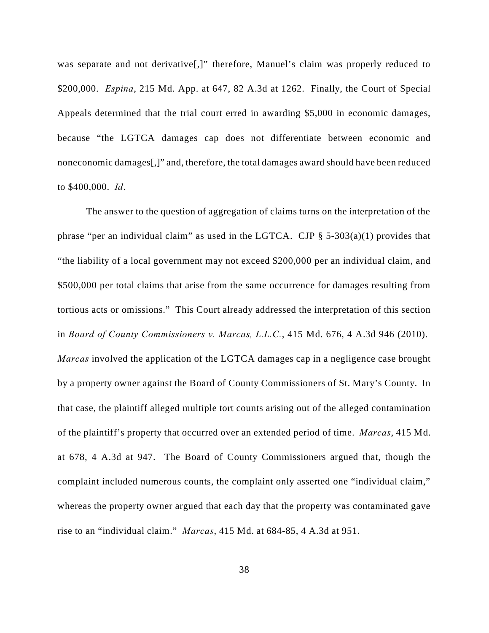was separate and not derivative<sup>[1]</sup>, therefore, Manuel's claim was properly reduced to \$200,000. *Espina*, 215 Md. App. at 647, 82 A.3d at 1262. Finally, the Court of Special Appeals determined that the trial court erred in awarding \$5,000 in economic damages, because "the LGTCA damages cap does not differentiate between economic and noneconomic damages[,]" and, therefore, the total damages award should have been reduced to \$400,000. *Id*.

The answer to the question of aggregation of claims turns on the interpretation of the phrase "per an individual claim" as used in the LGTCA. CJP  $\S$  5-303(a)(1) provides that "the liability of a local government may not exceed \$200,000 per an individual claim, and \$500,000 per total claims that arise from the same occurrence for damages resulting from tortious acts or omissions." This Court already addressed the interpretation of this section in *Board of County Commissioners v. Marcas, L.L.C.*, 415 Md. 676, 4 A.3d 946 (2010). *Marcas* involved the application of the LGTCA damages cap in a negligence case brought by a property owner against the Board of County Commissioners of St. Mary's County. In that case, the plaintiff alleged multiple tort counts arising out of the alleged contamination of the plaintiff's property that occurred over an extended period of time. *Marcas*, 415 Md. at 678, 4 A.3d at 947. The Board of County Commissioners argued that, though the complaint included numerous counts, the complaint only asserted one "individual claim," whereas the property owner argued that each day that the property was contaminated gave rise to an "individual claim." *Marcas*, 415 Md. at 684-85, 4 A.3d at 951.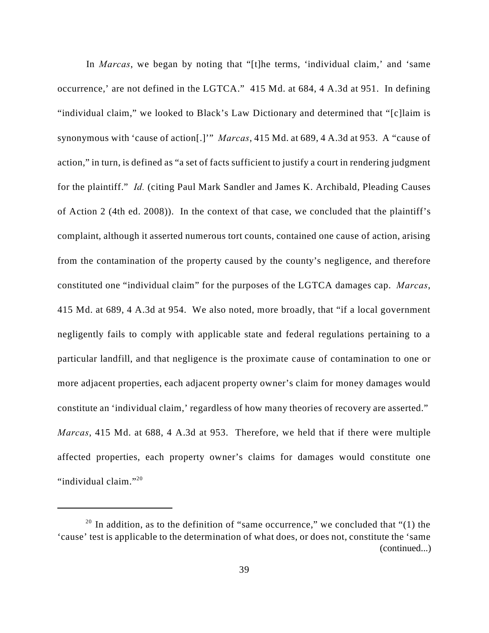In *Marcas*, we began by noting that "[t]he terms, 'individual claim,' and 'same occurrence,' are not defined in the LGTCA." 415 Md. at 684, 4 A.3d at 951. In defining "individual claim," we looked to Black's Law Dictionary and determined that "[c]laim is synonymous with 'cause of action[.]'" *Marcas*, 415 Md. at 689, 4 A.3d at 953. A "cause of action," in turn, is defined as "a set of facts sufficient to justify a court in rendering judgment for the plaintiff." *Id.* (citing Paul Mark Sandler and James K. Archibald, Pleading Causes of Action 2 (4th ed. 2008)). In the context of that case, we concluded that the plaintiff's complaint, although it asserted numerous tort counts, contained one cause of action, arising from the contamination of the property caused by the county's negligence, and therefore constituted one "individual claim" for the purposes of the LGTCA damages cap. *Marcas*, 415 Md. at 689, 4 A.3d at 954. We also noted, more broadly, that "if a local government negligently fails to comply with applicable state and federal regulations pertaining to a particular landfill, and that negligence is the proximate cause of contamination to one or more adjacent properties, each adjacent property owner's claim for money damages would constitute an 'individual claim,' regardless of how many theories of recovery are asserted." *Marcas*, 415 Md. at 688, 4 A.3d at 953. Therefore, we held that if there were multiple affected properties, each property owner's claims for damages would constitute one "individual claim."<sup>20</sup>

<sup>&</sup>lt;sup>20</sup> In addition, as to the definition of "same occurrence," we concluded that "(1) the 'cause' test is applicable to the determination of what does, or does not, constitute the 'same (continued...)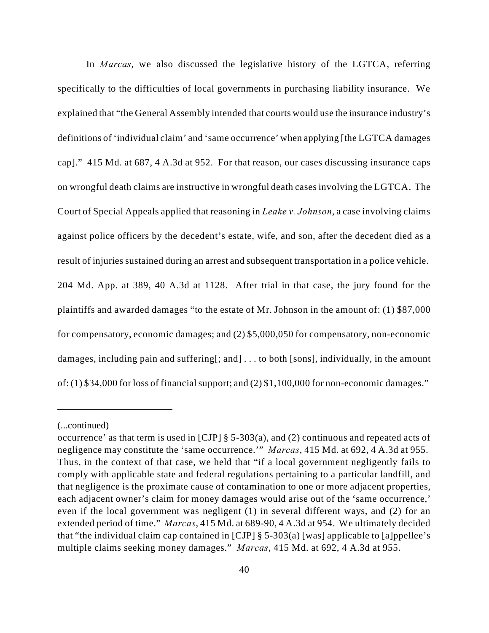In *Marcas*, we also discussed the legislative history of the LGTCA, referring specifically to the difficulties of local governments in purchasing liability insurance. We explained that "the General Assembly intended that courts would use the insurance industry's definitions of 'individual claim' and 'same occurrence' when applying [the LGTCA damages cap]." 415 Md. at 687, 4 A.3d at 952. For that reason, our cases discussing insurance caps on wrongful death claims are instructive in wrongful death cases involving the LGTCA. The Court of Special Appeals applied that reasoning in *Leake v. Johnson*, a case involving claims against police officers by the decedent's estate, wife, and son, after the decedent died as a result of injuries sustained during an arrest and subsequent transportation in a police vehicle. 204 Md. App. at 389, 40 A.3d at 1128. After trial in that case, the jury found for the plaintiffs and awarded damages "to the estate of Mr. Johnson in the amount of: (1) \$87,000 for compensatory, economic damages; and (2) \$5,000,050 for compensatory, non-economic damages, including pain and suffering[; and] . . . to both [sons], individually, in the amount of: (1) \$34,000 for loss of financial support; and (2) \$1,100,000 for non-economic damages."

<sup>(...</sup>continued)

occurrence' as that term is used in [CJP] § 5-303(a), and (2) continuous and repeated acts of negligence may constitute the 'same occurrence.'" *Marcas*, 415 Md. at 692, 4 A.3d at 955. Thus, in the context of that case, we held that "if a local government negligently fails to comply with applicable state and federal regulations pertaining to a particular landfill, and that negligence is the proximate cause of contamination to one or more adjacent properties, each adjacent owner's claim for money damages would arise out of the 'same occurrence,' even if the local government was negligent (1) in several different ways, and (2) for an extended period of time." *Marcas*, 415 Md. at 689-90, 4 A.3d at 954. We ultimately decided that "the individual claim cap contained in  $[CJP] \$  5-303(a) [was] applicable to [a]ppellee's multiple claims seeking money damages." *Marcas*, 415 Md. at 692, 4 A.3d at 955.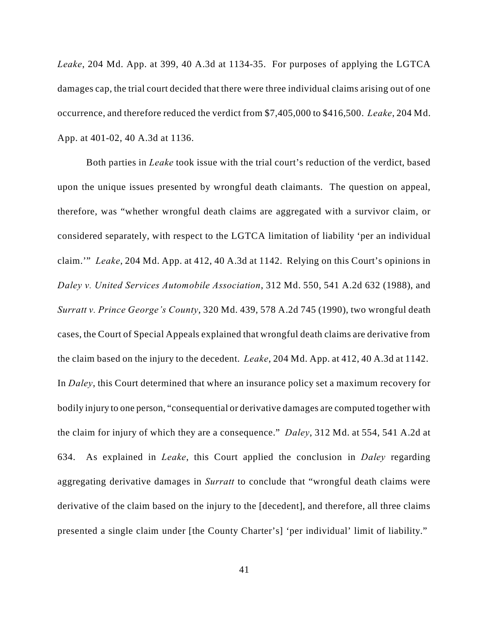*Leake*, 204 Md. App. at 399, 40 A.3d at 1134-35. For purposes of applying the LGTCA damages cap, the trial court decided that there were three individual claims arising out of one occurrence, and therefore reduced the verdict from \$7,405,000 to \$416,500. *Leake*, 204 Md. App. at 401-02, 40 A.3d at 1136.

Both parties in *Leake* took issue with the trial court's reduction of the verdict, based upon the unique issues presented by wrongful death claimants. The question on appeal, therefore, was "whether wrongful death claims are aggregated with a survivor claim, or considered separately, with respect to the LGTCA limitation of liability 'per an individual claim.'" *Leake*, 204 Md. App. at 412, 40 A.3d at 1142. Relying on this Court's opinions in *Daley v. United Services Automobile Association*, 312 Md. 550, 541 A.2d 632 (1988), and *Surratt v. Prince George's County*, 320 Md. 439, 578 A.2d 745 (1990), two wrongful death cases, the Court of Special Appeals explained that wrongful death claims are derivative from the claim based on the injury to the decedent. *Leake*, 204 Md. App. at 412, 40 A.3d at 1142. In *Daley*, this Court determined that where an insurance policy set a maximum recovery for bodily injury to one person, "consequential or derivative damages are computed together with the claim for injury of which they are a consequence." *Daley*, 312 Md. at 554, 541 A.2d at 634. As explained in *Leake*, this Court applied the conclusion in *Daley* regarding aggregating derivative damages in *Surratt* to conclude that "wrongful death claims were derivative of the claim based on the injury to the [decedent], and therefore, all three claims presented a single claim under [the County Charter's] 'per individual' limit of liability."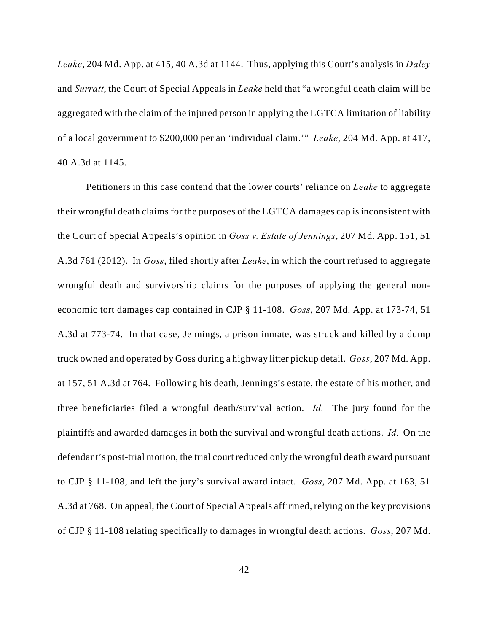*Leake*, 204 Md. App. at 415, 40 A.3d at 1144. Thus, applying this Court's analysis in *Daley* and *Surratt*, the Court of Special Appeals in *Leake* held that "a wrongful death claim will be aggregated with the claim of the injured person in applying the LGTCA limitation of liability of a local government to \$200,000 per an 'individual claim.'" *Leake*, 204 Md. App. at 417, 40 A.3d at 1145.

Petitioners in this case contend that the lower courts' reliance on *Leake* to aggregate their wrongful death claims for the purposes of the LGTCA damages cap is inconsistent with the Court of Special Appeals's opinion in *Goss v. Estate of Jennings*, 207 Md. App. 151, 51 A.3d 761 (2012). In *Goss*, filed shortly after *Leake*, in which the court refused to aggregate wrongful death and survivorship claims for the purposes of applying the general noneconomic tort damages cap contained in CJP § 11-108. *Goss*, 207 Md. App. at 173-74, 51 A.3d at 773-74. In that case, Jennings, a prison inmate, was struck and killed by a dump truck owned and operated by Goss during a highway litter pickup detail. *Goss*, 207 Md. App. at 157, 51 A.3d at 764. Following his death, Jennings's estate, the estate of his mother, and three beneficiaries filed a wrongful death/survival action. *Id.* The jury found for the plaintiffs and awarded damages in both the survival and wrongful death actions. *Id.* On the defendant's post-trial motion, the trial court reduced only the wrongful death award pursuant to CJP § 11-108, and left the jury's survival award intact. *Goss*, 207 Md. App. at 163, 51 A.3d at 768. On appeal, the Court of Special Appeals affirmed, relying on the key provisions of CJP § 11-108 relating specifically to damages in wrongful death actions. *Goss*, 207 Md.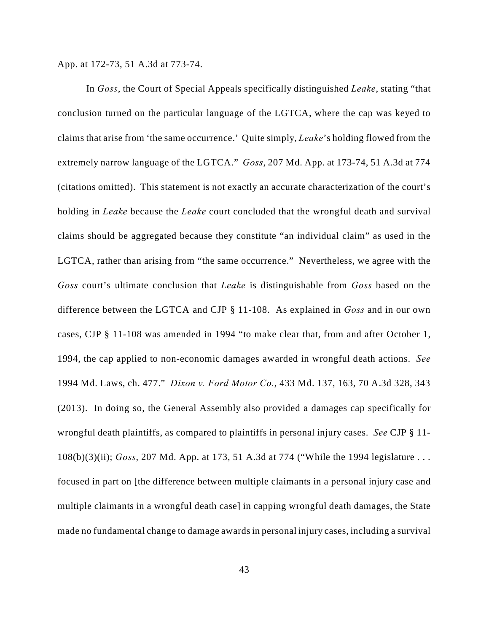App. at 172-73, 51 A.3d at 773-74.

In *Goss*, the Court of Special Appeals specifically distinguished *Leake*, stating "that conclusion turned on the particular language of the LGTCA, where the cap was keyed to claims that arise from 'the same occurrence.' Quite simply, *Leake*'s holding flowed from the extremely narrow language of the LGTCA." *Goss*, 207 Md. App. at 173-74, 51 A.3d at 774 (citations omitted). This statement is not exactly an accurate characterization of the court's holding in *Leake* because the *Leake* court concluded that the wrongful death and survival claims should be aggregated because they constitute "an individual claim" as used in the LGTCA, rather than arising from "the same occurrence." Nevertheless, we agree with the *Goss* court's ultimate conclusion that *Leake* is distinguishable from *Goss* based on the difference between the LGTCA and CJP § 11-108. As explained in *Goss* and in our own cases, CJP § 11-108 was amended in 1994 "to make clear that, from and after October 1, 1994, the cap applied to non-economic damages awarded in wrongful death actions. *See* 1994 Md. Laws, ch. 477." *Dixon v. Ford Motor Co.*, 433 Md. 137, 163, 70 A.3d 328, 343 (2013). In doing so, the General Assembly also provided a damages cap specifically for wrongful death plaintiffs, as compared to plaintiffs in personal injury cases. *See* CJP § 11- 108(b)(3)(ii); *Goss*, 207 Md. App. at 173, 51 A.3d at 774 ("While the 1994 legislature . . . focused in part on [the difference between multiple claimants in a personal injury case and multiple claimants in a wrongful death case] in capping wrongful death damages, the State made no fundamental change to damage awards in personal injury cases, including a survival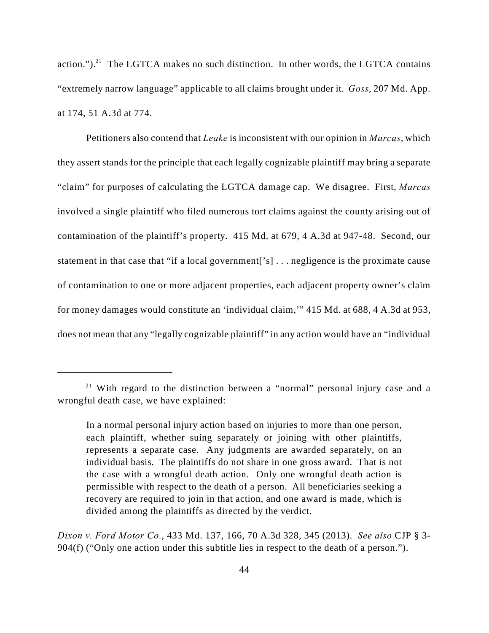action." $)^{21}$  The LGTCA makes no such distinction. In other words, the LGTCA contains "extremely narrow language" applicable to all claims brought under it. *Goss*, 207 Md. App. at 174, 51 A.3d at 774.

Petitioners also contend that *Leake* is inconsistent with our opinion in *Marcas*, which they assert stands for the principle that each legally cognizable plaintiff may bring a separate "claim" for purposes of calculating the LGTCA damage cap. We disagree. First, *Marcas* involved a single plaintiff who filed numerous tort claims against the county arising out of contamination of the plaintiff's property. 415 Md. at 679, 4 A.3d at 947-48. Second, our statement in that case that "if a local government['s] . . . negligence is the proximate cause of contamination to one or more adjacent properties, each adjacent property owner's claim for money damages would constitute an 'individual claim,'" 415 Md. at 688, 4 A.3d at 953, does not mean that any "legally cognizable plaintiff" in any action would have an "individual

*Dixon v. Ford Motor Co.*, 433 Md. 137, 166, 70 A.3d 328, 345 (2013). *See also* CJP § 3- 904(f) ("Only one action under this subtitle lies in respect to the death of a person.").

 $21$  With regard to the distinction between a "normal" personal injury case and a wrongful death case, we have explained:

In a normal personal injury action based on injuries to more than one person, each plaintiff, whether suing separately or joining with other plaintiffs, represents a separate case. Any judgments are awarded separately, on an individual basis. The plaintiffs do not share in one gross award. That is not the case with a wrongful death action. Only one wrongful death action is permissible with respect to the death of a person. All beneficiaries seeking a recovery are required to join in that action, and one award is made, which is divided among the plaintiffs as directed by the verdict.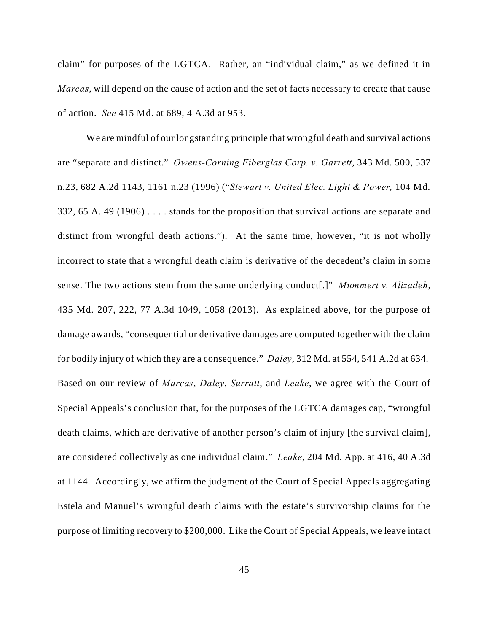claim" for purposes of the LGTCA. Rather, an "individual claim," as we defined it in *Marcas*, will depend on the cause of action and the set of facts necessary to create that cause of action. *See* 415 Md. at 689, 4 A.3d at 953.

We are mindful of our longstanding principle that wrongful death and survival actions are "separate and distinct." *Owens-Corning Fiberglas Corp. v. Garrett*, 343 Md. 500, 537 n.23, 682 A.2d 1143, 1161 n.23 (1996) ("*Stewart v. United Elec. Light & Power,* 104 Md. 332, 65 A. 49 (1906) . . . . stands for the proposition that survival actions are separate and distinct from wrongful death actions."). At the same time, however, "it is not wholly incorrect to state that a wrongful death claim is derivative of the decedent's claim in some sense. The two actions stem from the same underlying conduct[.]" *Mummert v. Alizadeh*, 435 Md. 207, 222, 77 A.3d 1049, 1058 (2013). As explained above, for the purpose of damage awards, "consequential or derivative damages are computed together with the claim for bodily injury of which they are a consequence." *Daley*, 312 Md. at 554, 541 A.2d at 634. Based on our review of *Marcas*, *Daley*, *Surratt*, and *Leake*, we agree with the Court of Special Appeals's conclusion that, for the purposes of the LGTCA damages cap, "wrongful death claims, which are derivative of another person's claim of injury [the survival claim], are considered collectively as one individual claim." *Leake*, 204 Md. App. at 416, 40 A.3d at 1144. Accordingly, we affirm the judgment of the Court of Special Appeals aggregating Estela and Manuel's wrongful death claims with the estate's survivorship claims for the purpose of limiting recovery to \$200,000. Like the Court of Special Appeals, we leave intact